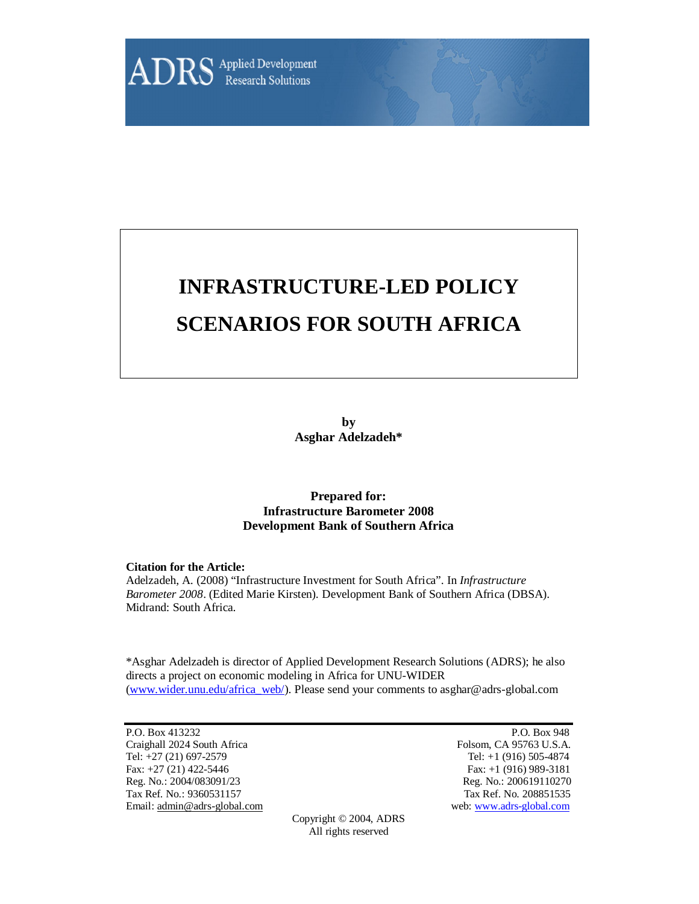

# **INFRASTRUCTURE-LED POLICY SCENARIOS FOR SOUTH AFRICA**

**by Asghar Adelzadeh\***

# **Prepared for: Infrastructure Barometer 2008 Development Bank of Southern Africa**

#### **Citation for the Article:**

Adelzadeh, A. (2008) "Infrastructure Investment for South Africa". In *Infrastructure Barometer 2008*. (Edited Marie Kirsten). Development Bank of Southern Africa (DBSA). Midrand: South Africa.

\*Asghar Adelzadeh is director of Applied Development Research Solutions (ADRS); he also directs a project on economic modeling in Africa for UNU-WIDER (www.wider.unu.edu/africa\_web/). Please send your comments to asghar@adrs-global.com

P.O. Box 413232 P.O. Box 948 Craighall 2024 South Africa Folsom, CA 95763 U.S.A. Tel: +27 (21) 697-2579 Tel: +1 (916) 505-4874 Fax: +27 (21) 422-5446 Fax: +1 (916) 989-3181 Reg. No.: 2004/083091/23 Reg. No.: 200619110270 Tax Ref. No.: 9360531157 Tax Ref. No. 208851535 Email: admin@adrs-global.com web: www.adrs-global.com

Copyright © 2004, ADRS All rights reserved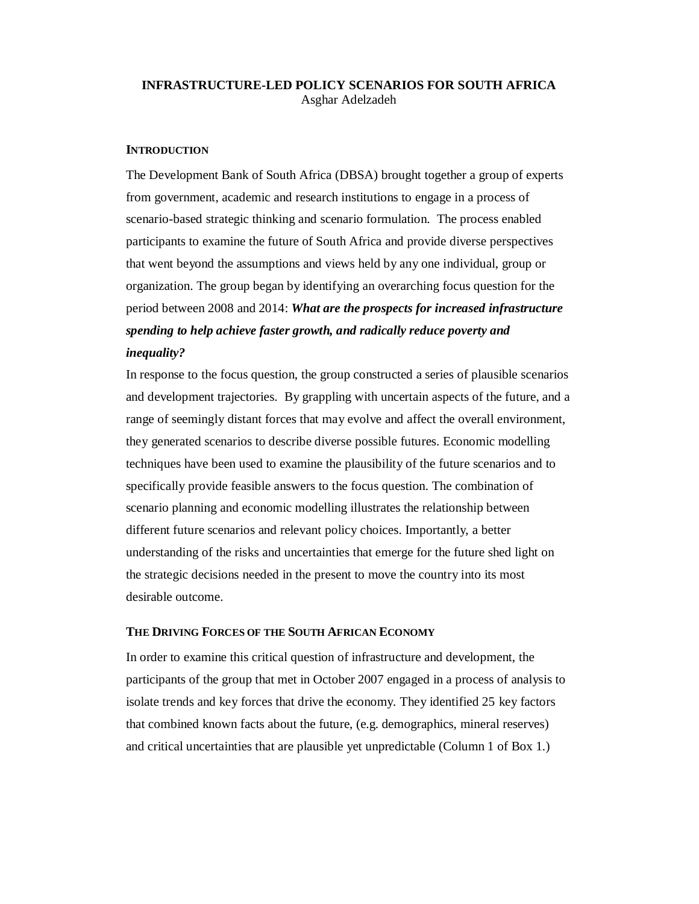# **INFRASTRUCTURE-LED POLICY SCENARIOS FOR SOUTH AFRICA**  Asghar Adelzadeh

#### **INTRODUCTION**

The Development Bank of South Africa (DBSA) brought together a group of experts from government, academic and research institutions to engage in a process of scenario-based strategic thinking and scenario formulation. The process enabled participants to examine the future of South Africa and provide diverse perspectives that went beyond the assumptions and views held by any one individual, group or organization. The group began by identifying an overarching focus question for the period between 2008 and 2014: *What are the prospects for increased infrastructure spending to help achieve faster growth, and radically reduce poverty and inequality?*

In response to the focus question, the group constructed a series of plausible scenarios and development trajectories. By grappling with uncertain aspects of the future, and a range of seemingly distant forces that may evolve and affect the overall environment, they generated scenarios to describe diverse possible futures. Economic modelling techniques have been used to examine the plausibility of the future scenarios and to specifically provide feasible answers to the focus question. The combination of scenario planning and economic modelling illustrates the relationship between different future scenarios and relevant policy choices. Importantly, a better understanding of the risks and uncertainties that emerge for the future shed light on the strategic decisions needed in the present to move the country into its most desirable outcome.

#### **THE DRIVING FORCES OF THE SOUTH AFRICAN ECONOMY**

In order to examine this critical question of infrastructure and development, the participants of the group that met in October 2007 engaged in a process of analysis to isolate trends and key forces that drive the economy. They identified 25 key factors that combined known facts about the future, (e.g. demographics, mineral reserves) and critical uncertainties that are plausible yet unpredictable (Column 1 of Box 1.)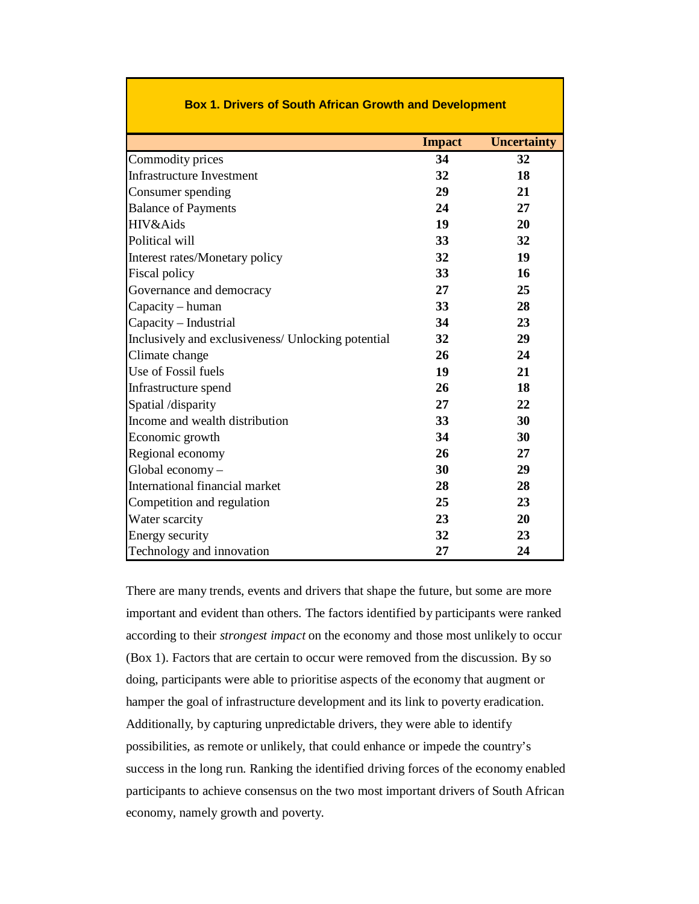| <u>os I. Dilvers or obath Allican Orowth and Development</u> |               |                    |  |  |  |  |  |
|--------------------------------------------------------------|---------------|--------------------|--|--|--|--|--|
|                                                              | <b>Impact</b> | <b>Uncertainty</b> |  |  |  |  |  |
| Commodity prices                                             | 34            | 32                 |  |  |  |  |  |
| <b>Infrastructure Investment</b>                             | 32            | 18                 |  |  |  |  |  |
| Consumer spending                                            | 29            | 21                 |  |  |  |  |  |
| <b>Balance of Payments</b>                                   | 24            | 27                 |  |  |  |  |  |
| HIV&Aids                                                     | 19            | 20                 |  |  |  |  |  |
| Political will                                               | 33            | 32                 |  |  |  |  |  |
| Interest rates/Monetary policy                               | 32            | 19                 |  |  |  |  |  |
| Fiscal policy                                                | 33            | 16                 |  |  |  |  |  |
| Governance and democracy                                     | 27            | 25                 |  |  |  |  |  |
| Capacity – human                                             | 33            | 28                 |  |  |  |  |  |
| Capacity - Industrial                                        | 34            | 23                 |  |  |  |  |  |
| Inclusively and exclusiveness/ Unlocking potential           | 32            | 29                 |  |  |  |  |  |
| Climate change                                               | 26            | 24                 |  |  |  |  |  |
| Use of Fossil fuels                                          | 19            | 21                 |  |  |  |  |  |
| Infrastructure spend                                         | 26            | 18                 |  |  |  |  |  |
| Spatial /disparity                                           | 27            | 22                 |  |  |  |  |  |
| Income and wealth distribution                               | 33            | 30                 |  |  |  |  |  |
| Economic growth                                              | 34            | 30                 |  |  |  |  |  |
| Regional economy                                             | 26            | 27                 |  |  |  |  |  |
| Global economy-                                              | 30            | 29                 |  |  |  |  |  |
| International financial market                               | 28            | 28                 |  |  |  |  |  |
| Competition and regulation                                   | 25            | 23                 |  |  |  |  |  |
| Water scarcity                                               | 23            | 20                 |  |  |  |  |  |
| Energy security                                              | 32            | 23                 |  |  |  |  |  |
| Technology and innovation                                    | 27            | 24                 |  |  |  |  |  |

# **Box 1. Drivers of South African Growth and Development**

There are many trends, events and drivers that shape the future, but some are more important and evident than others. The factors identified by participants were ranked according to their *strongest impact* on the economy and those most unlikely to occur (Box 1). Factors that are certain to occur were removed from the discussion. By so doing, participants were able to prioritise aspects of the economy that augment or hamper the goal of infrastructure development and its link to poverty eradication. Additionally, by capturing unpredictable drivers, they were able to identify possibilities, as remote or unlikely, that could enhance or impede the country's success in the long run. Ranking the identified driving forces of the economy enabled participants to achieve consensus on the two most important drivers of South African economy, namely growth and poverty.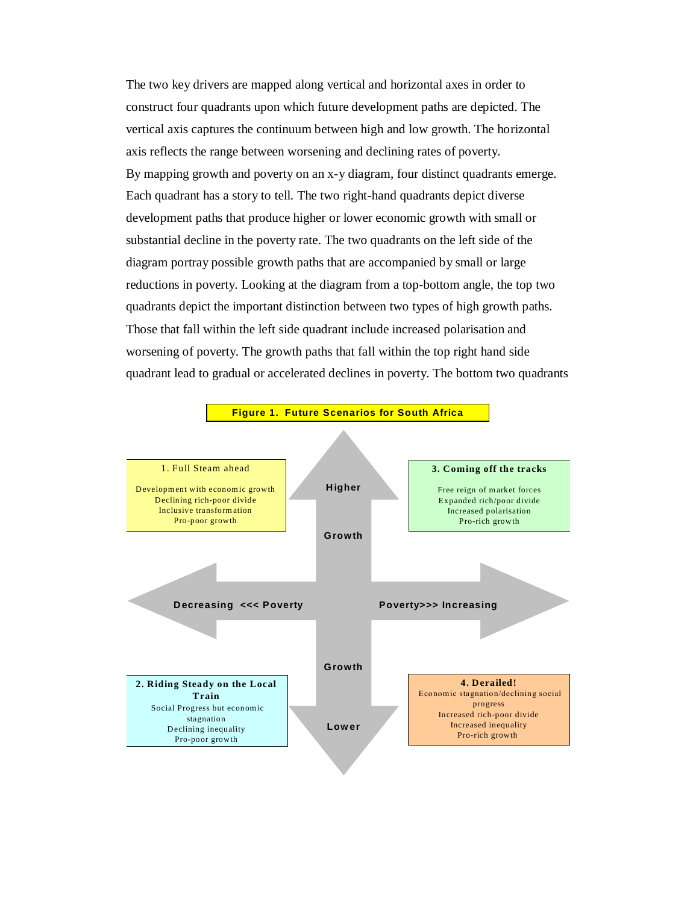The two key drivers are mapped along vertical and horizontal axes in order to construct four quadrants upon which future development paths are depicted. The vertical axis captures the continuum between high and low growth. The horizontal axis reflects the range between worsening and declining rates of poverty. By mapping growth and poverty on an x-y diagram, four distinct quadrants emerge. Each quadrant has a story to tell. The two right-hand quadrants depict diverse development paths that produce higher or lower economic growth with small or substantial decline in the poverty rate. The two quadrants on the left side of the diagram portray possible growth paths that are accompanied by small or large reductions in poverty. Looking at the diagram from a top-bottom angle, the top two quadrants depict the important distinction between two types of high growth paths. Those that fall within the left side quadrant include increased polarisation and worsening of poverty. The growth paths that fall within the top right hand side quadrant lead to gradual or accelerated declines in poverty. The bottom two quadrants

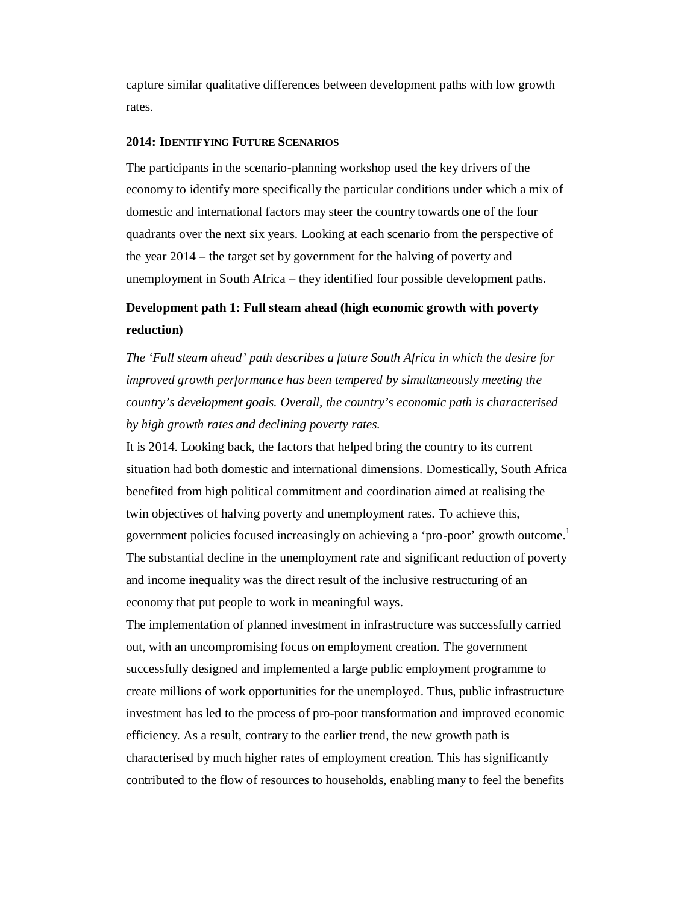capture similar qualitative differences between development paths with low growth rates.

#### **2014: IDENTIFYING FUTURE SCENARIOS**

The participants in the scenario-planning workshop used the key drivers of the economy to identify more specifically the particular conditions under which a mix of domestic and international factors may steer the country towards one of the four quadrants over the next six years. Looking at each scenario from the perspective of the year 2014 – the target set by government for the halving of poverty and unemployment in South Africa – they identified four possible development paths.

# **Development path 1: Full steam ahead (high economic growth with poverty reduction)**

*The 'Full steam ahead' path describes a future South Africa in which the desire for improved growth performance has been tempered by simultaneously meeting the country's development goals. Overall, the country's economic path is characterised by high growth rates and declining poverty rates.* 

It is 2014. Looking back, the factors that helped bring the country to its current situation had both domestic and international dimensions. Domestically, South Africa benefited from high political commitment and coordination aimed at realising the twin objectives of halving poverty and unemployment rates. To achieve this, government policies focused increasingly on achieving a 'pro-poor' growth outcome.<sup>1</sup> The substantial decline in the unemployment rate and significant reduction of poverty and income inequality was the direct result of the inclusive restructuring of an economy that put people to work in meaningful ways.

The implementation of planned investment in infrastructure was successfully carried out, with an uncompromising focus on employment creation. The government successfully designed and implemented a large public employment programme to create millions of work opportunities for the unemployed. Thus, public infrastructure investment has led to the process of pro-poor transformation and improved economic efficiency. As a result, contrary to the earlier trend, the new growth path is characterised by much higher rates of employment creation. This has significantly contributed to the flow of resources to households, enabling many to feel the benefits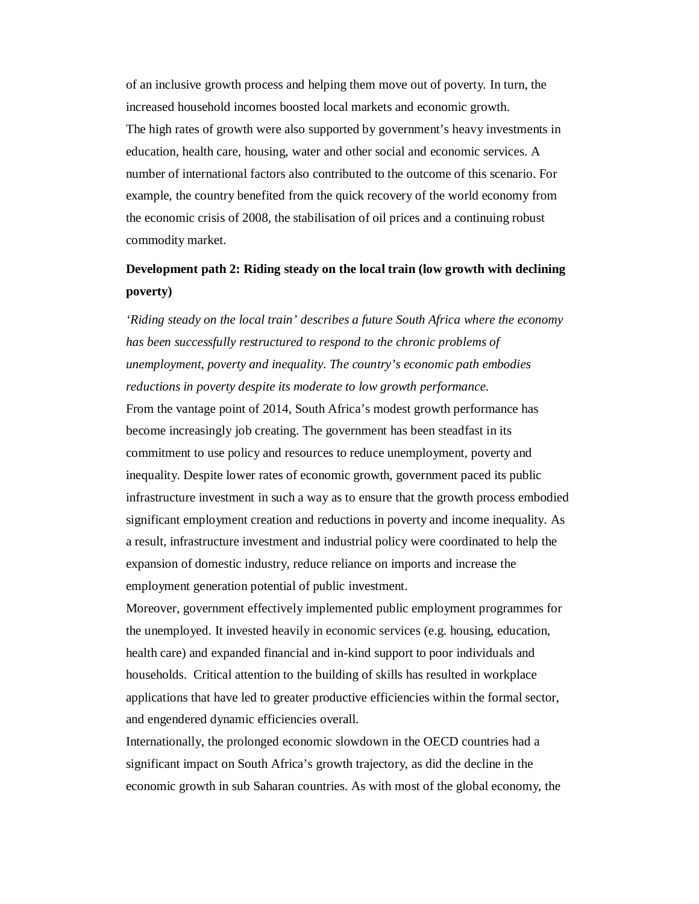of an inclusive growth process and helping them move out of poverty. In turn, the increased household incomes boosted local markets and economic growth. The high rates of growth were also supported by government's heavy investments in education, health care, housing, water and other social and economic services. A number of international factors also contributed to the outcome of this scenario. For example, the country benefited from the quick recovery of the world economy from the economic crisis of 2008, the stabilisation of oil prices and a continuing robust commodity market.

# **Development path 2: Riding steady on the local train (low growth with declining poverty)**

*'Riding steady on the local train' describes a future South Africa where the economy has been successfully restructured to respond to the chronic problems of unemployment, poverty and inequality. The country's economic path embodies reductions in poverty despite its moderate to low growth performance.* 

From the vantage point of 2014, South Africa's modest growth performance has become increasingly job creating. The government has been steadfast in its commitment to use policy and resources to reduce unemployment, poverty and inequality. Despite lower rates of economic growth, government paced its public infrastructure investment in such a way as to ensure that the growth process embodied significant employment creation and reductions in poverty and income inequality. As a result, infrastructure investment and industrial policy were coordinated to help the expansion of domestic industry, reduce reliance on imports and increase the employment generation potential of public investment.

Moreover, government effectively implemented public employment programmes for the unemployed. It invested heavily in economic services (e.g. housing, education, health care) and expanded financial and in-kind support to poor individuals and households. Critical attention to the building of skills has resulted in workplace applications that have led to greater productive efficiencies within the formal sector, and engendered dynamic efficiencies overall.

Internationally, the prolonged economic slowdown in the OECD countries had a significant impact on South Africa's growth trajectory, as did the decline in the economic growth in sub Saharan countries. As with most of the global economy, the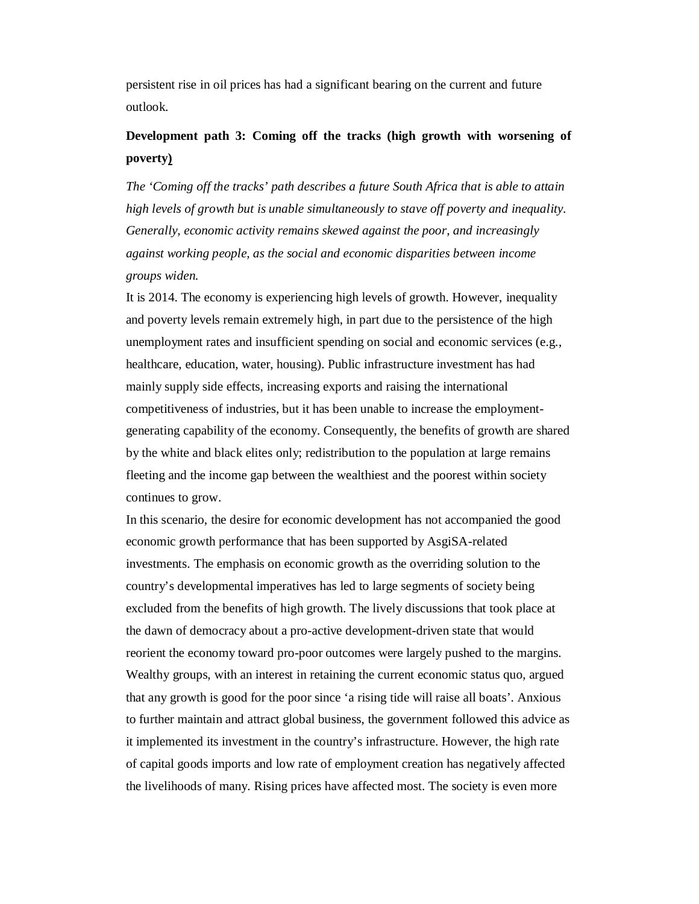persistent rise in oil prices has had a significant bearing on the current and future outlook.

# **Development path 3: Coming off the tracks (high growth with worsening of poverty)**

*The 'Coming off the tracks' path describes a future South Africa that is able to attain high levels of growth but is unable simultaneously to stave off poverty and inequality. Generally, economic activity remains skewed against the poor, and increasingly against working people, as the social and economic disparities between income groups widen.* 

It is 2014. The economy is experiencing high levels of growth. However, inequality and poverty levels remain extremely high, in part due to the persistence of the high unemployment rates and insufficient spending on social and economic services (e.g., healthcare, education, water, housing). Public infrastructure investment has had mainly supply side effects, increasing exports and raising the international competitiveness of industries, but it has been unable to increase the employmentgenerating capability of the economy. Consequently, the benefits of growth are shared by the white and black elites only; redistribution to the population at large remains fleeting and the income gap between the wealthiest and the poorest within society continues to grow.

In this scenario, the desire for economic development has not accompanied the good economic growth performance that has been supported by AsgiSA-related investments. The emphasis on economic growth as the overriding solution to the country's developmental imperatives has led to large segments of society being excluded from the benefits of high growth. The lively discussions that took place at the dawn of democracy about a pro-active development-driven state that would reorient the economy toward pro-poor outcomes were largely pushed to the margins. Wealthy groups, with an interest in retaining the current economic status quo, argued that any growth is good for the poor since 'a rising tide will raise all boats'. Anxious to further maintain and attract global business, the government followed this advice as it implemented its investment in the country's infrastructure. However, the high rate of capital goods imports and low rate of employment creation has negatively affected the livelihoods of many. Rising prices have affected most. The society is even more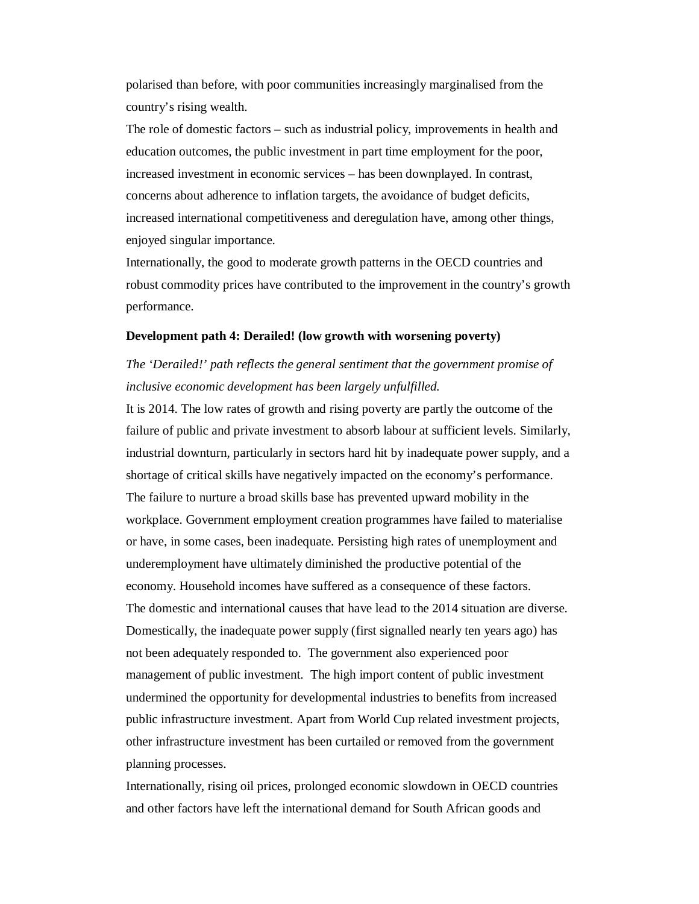polarised than before, with poor communities increasingly marginalised from the country's rising wealth.

The role of domestic factors – such as industrial policy, improvements in health and education outcomes, the public investment in part time employment for the poor, increased investment in economic services – has been downplayed. In contrast, concerns about adherence to inflation targets, the avoidance of budget deficits, increased international competitiveness and deregulation have, among other things, enjoyed singular importance.

Internationally, the good to moderate growth patterns in the OECD countries and robust commodity prices have contributed to the improvement in the country's growth performance.

#### **Development path 4: Derailed! (low growth with worsening poverty)**

# *The 'Derailed!' path reflects the general sentiment that the government promise of inclusive economic development has been largely unfulfilled.*

It is 2014. The low rates of growth and rising poverty are partly the outcome of the failure of public and private investment to absorb labour at sufficient levels. Similarly, industrial downturn, particularly in sectors hard hit by inadequate power supply, and a shortage of critical skills have negatively impacted on the economy's performance. The failure to nurture a broad skills base has prevented upward mobility in the workplace. Government employment creation programmes have failed to materialise or have, in some cases, been inadequate. Persisting high rates of unemployment and underemployment have ultimately diminished the productive potential of the economy. Household incomes have suffered as a consequence of these factors. The domestic and international causes that have lead to the 2014 situation are diverse. Domestically, the inadequate power supply (first signalled nearly ten years ago) has not been adequately responded to. The government also experienced poor management of public investment. The high import content of public investment undermined the opportunity for developmental industries to benefits from increased public infrastructure investment. Apart from World Cup related investment projects, other infrastructure investment has been curtailed or removed from the government planning processes.

Internationally, rising oil prices, prolonged economic slowdown in OECD countries and other factors have left the international demand for South African goods and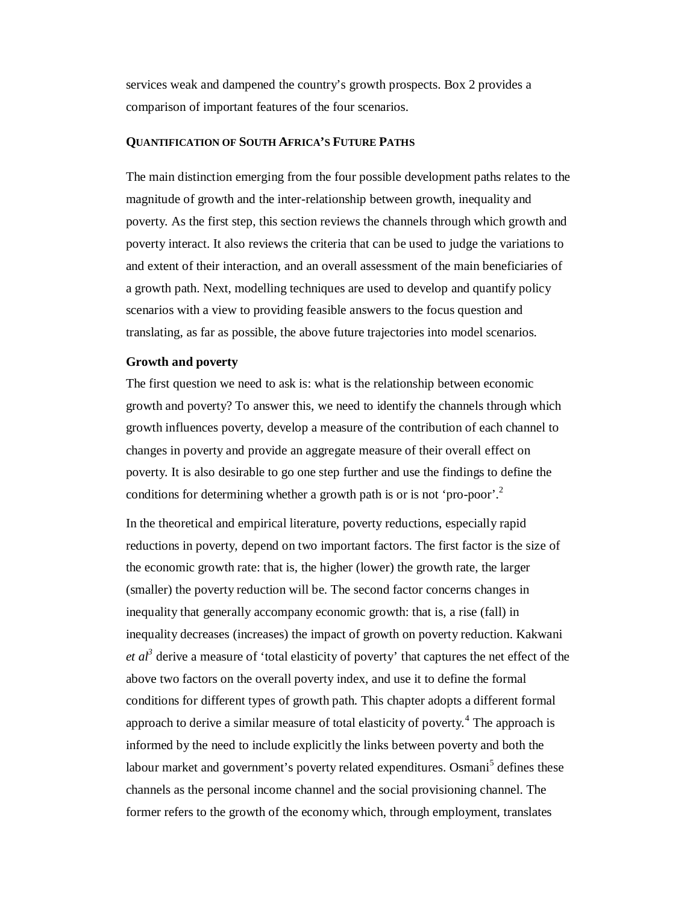services weak and dampened the country's growth prospects. Box 2 provides a comparison of important features of the four scenarios.

#### **QUANTIFICATION OF SOUTH AFRICA'S FUTURE PATHS**

The main distinction emerging from the four possible development paths relates to the magnitude of growth and the inter-relationship between growth, inequality and poverty. As the first step, this section reviews the channels through which growth and poverty interact. It also reviews the criteria that can be used to judge the variations to and extent of their interaction, and an overall assessment of the main beneficiaries of a growth path. Next, modelling techniques are used to develop and quantify policy scenarios with a view to providing feasible answers to the focus question and translating, as far as possible, the above future trajectories into model scenarios.

#### **Growth and poverty**

The first question we need to ask is: what is the relationship between economic growth and poverty? To answer this, we need to identify the channels through which growth influences poverty, develop a measure of the contribution of each channel to changes in poverty and provide an aggregate measure of their overall effect on poverty. It is also desirable to go one step further and use the findings to define the conditions for determining whether a growth path is or is not 'pro-poor'.<sup>2</sup>

In the theoretical and empirical literature, poverty reductions, especially rapid reductions in poverty, depend on two important factors. The first factor is the size of the economic growth rate: that is, the higher (lower) the growth rate, the larger (smaller) the poverty reduction will be. The second factor concerns changes in inequality that generally accompany economic growth: that is, a rise (fall) in inequality decreases (increases) the impact of growth on poverty reduction. Kakwani *et al*<sup>3</sup> derive a measure of 'total elasticity of poverty' that captures the net effect of the above two factors on the overall poverty index, and use it to define the formal conditions for different types of growth path. This chapter adopts a different formal approach to derive a similar measure of total elasticity of poverty.<sup>4</sup> The approach is informed by the need to include explicitly the links between poverty and both the labour market and government's poverty related expenditures. Osmani<sup>5</sup> defines these channels as the personal income channel and the social provisioning channel. The former refers to the growth of the economy which, through employment, translates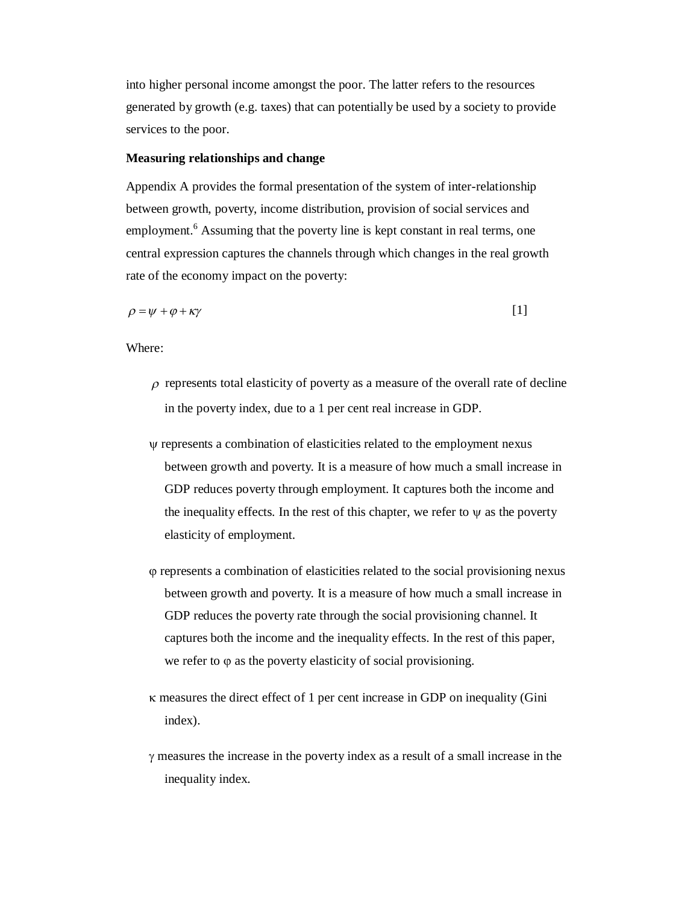into higher personal income amongst the poor. The latter refers to the resources generated by growth (e.g. taxes) that can potentially be used by a society to provide services to the poor.

#### **Measuring relationships and change**

Appendix A provides the formal presentation of the system of inter-relationship between growth, poverty, income distribution, provision of social services and employment.<sup>6</sup> Assuming that the poverty line is kept constant in real terms, one central expression captures the channels through which changes in the real growth rate of the economy impact on the poverty:

$$
\rho = \psi + \varphi + \kappa \gamma \tag{1}
$$

Where:

- $\rho$  represents total elasticity of poverty as a measure of the overall rate of decline in the poverty index, due to a 1 per cent real increase in GDP.
- represents a combination of elasticities related to the employment nexus between growth and poverty. It is a measure of how much a small increase in GDP reduces poverty through employment. It captures both the income and the inequality effects. In the rest of this chapter, we refer to  $\psi$  as the poverty elasticity of employment.
- represents a combination of elasticities related to the social provisioning nexus between growth and poverty. It is a measure of how much a small increase in GDP reduces the poverty rate through the social provisioning channel. It captures both the income and the inequality effects. In the rest of this paper, we refer to  $\varphi$  as the poverty elasticity of social provisioning.
- $\kappa$  measures the direct effect of 1 per cent increase in GDP on inequality (Gini index).
- $\gamma$  measures the increase in the poverty index as a result of a small increase in the inequality index.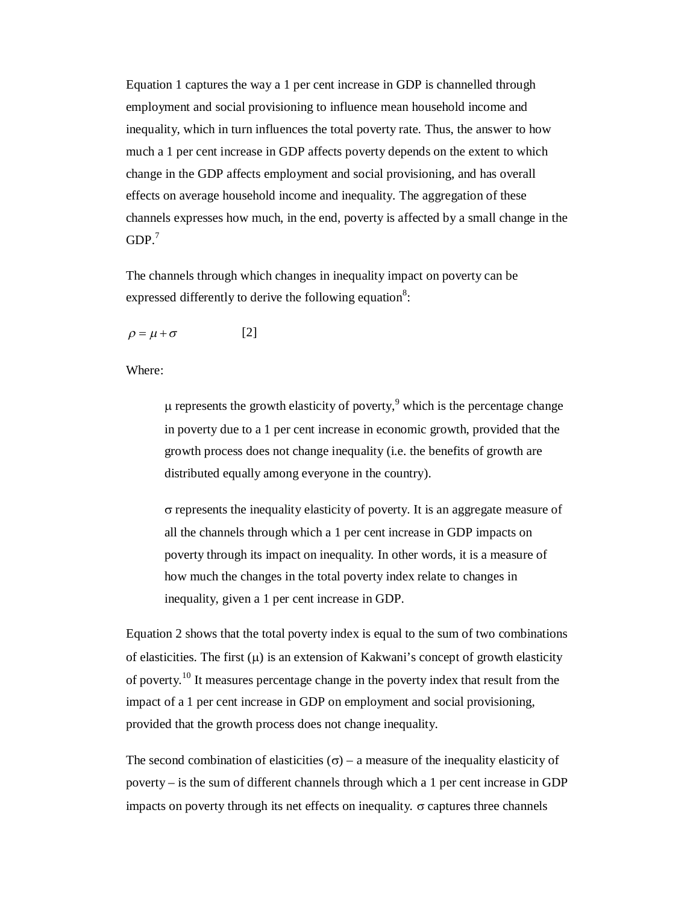Equation 1 captures the way a 1 per cent increase in GDP is channelled through employment and social provisioning to influence mean household income and inequality, which in turn influences the total poverty rate. Thus, the answer to how much a 1 per cent increase in GDP affects poverty depends on the extent to which change in the GDP affects employment and social provisioning, and has overall effects on average household income and inequality. The aggregation of these channels expresses how much, in the end, poverty is affected by a small change in the  $GDP.<sup>7</sup>$ 

The channels through which changes in inequality impact on poverty can be expressed differently to derive the following equation<sup>8</sup>:

$$
\rho = \mu + \sigma \tag{2}
$$

Where:

 $\mu$  represents the growth elasticity of poverty,<sup>9</sup> which is the percentage change in poverty due to a 1 per cent increase in economic growth, provided that the growth process does not change inequality (i.e. the benefits of growth are distributed equally among everyone in the country).

 $\sigma$  represents the inequality elasticity of poverty. It is an aggregate measure of all the channels through which a 1 per cent increase in GDP impacts on poverty through its impact on inequality. In other words, it is a measure of how much the changes in the total poverty index relate to changes in inequality, given a 1 per cent increase in GDP.

Equation 2 shows that the total poverty index is equal to the sum of two combinations of elasticities. The first  $(u)$  is an extension of Kakwani's concept of growth elasticity of poverty.<sup>10</sup> It measures percentage change in the poverty index that result from the impact of a 1 per cent increase in GDP on employment and social provisioning, provided that the growth process does not change inequality.

The second combination of elasticities ( $\sigma$ ) – a measure of the inequality elasticity of poverty – is the sum of different channels through which a 1 per cent increase in GDP impacts on poverty through its net effects on inequality.  $\sigma$  captures three channels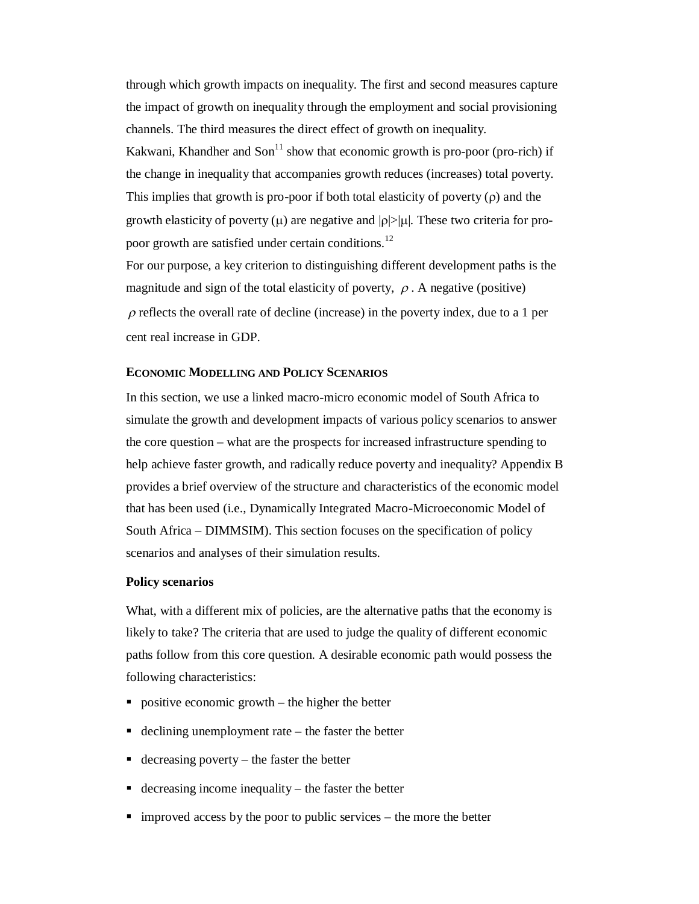through which growth impacts on inequality. The first and second measures capture the impact of growth on inequality through the employment and social provisioning channels. The third measures the direct effect of growth on inequality.

Kakwani, Khandher and Son $<sup>11</sup>$  show that economic growth is pro-poor (pro-rich) if</sup> the change in inequality that accompanies growth reduces (increases) total poverty. This implies that growth is pro-poor if both total elasticity of poverty  $(\rho)$  and the growth elasticity of poverty ( $\mu$ ) are negative and  $|\rho| > |\mu|$ . These two criteria for propoor growth are satisfied under certain conditions.<sup>12</sup>

For our purpose, a key criterion to distinguishing different development paths is the magnitude and sign of the total elasticity of poverty,  $\rho$ . A negative (positive)  $\rho$  reflects the overall rate of decline (increase) in the poverty index, due to a 1 per cent real increase in GDP.

#### **ECONOMIC MODELLING AND POLICY SCENARIOS**

In this section, we use a linked macro-micro economic model of South Africa to simulate the growth and development impacts of various policy scenarios to answer the core question – what are the prospects for increased infrastructure spending to help achieve faster growth, and radically reduce poverty and inequality? Appendix B provides a brief overview of the structure and characteristics of the economic model that has been used (i.e., Dynamically Integrated Macro-Microeconomic Model of South Africa – DIMMSIM). This section focuses on the specification of policy scenarios and analyses of their simulation results.

## **Policy scenarios**

What, with a different mix of policies, are the alternative paths that the economy is likely to take? The criteria that are used to judge the quality of different economic paths follow from this core question. A desirable economic path would possess the following characteristics:

- positive economic growth the higher the better
- declining unemployment rate  $-$  the faster the better
- $\blacksquare$  decreasing poverty the faster the better
- $\blacksquare$  decreasing income inequality the faster the better
- improved access by the poor to public services the more the better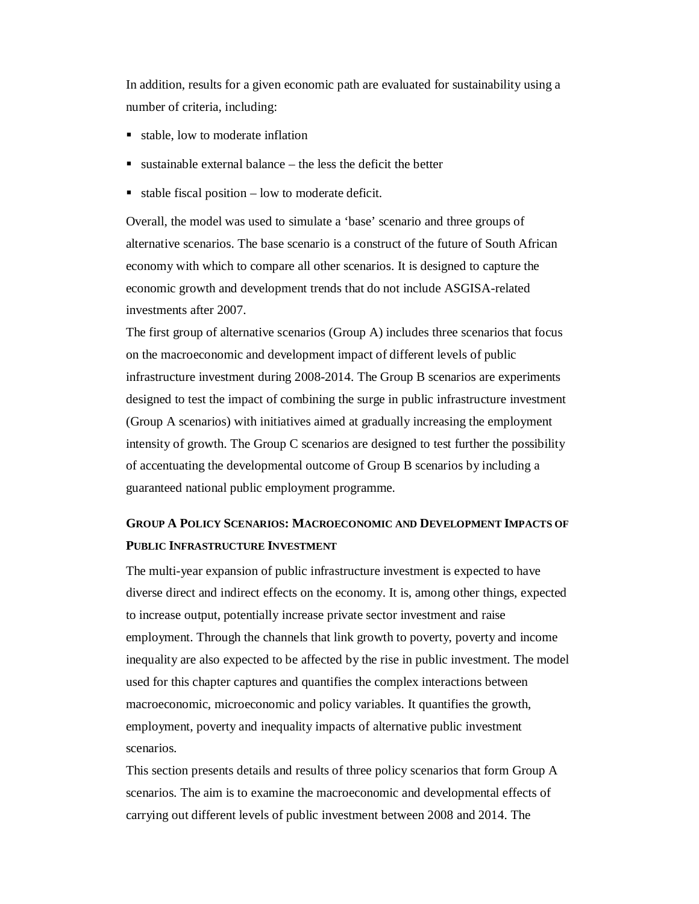In addition, results for a given economic path are evaluated for sustainability using a number of criteria, including:

- stable, low to moderate inflation
- $\blacksquare$  sustainable external balance the less the deficit the better
- $\blacksquare$  stable fiscal position low to moderate deficit.

Overall, the model was used to simulate a 'base' scenario and three groups of alternative scenarios. The base scenario is a construct of the future of South African economy with which to compare all other scenarios. It is designed to capture the economic growth and development trends that do not include ASGISA-related investments after 2007.

The first group of alternative scenarios (Group A) includes three scenarios that focus on the macroeconomic and development impact of different levels of public infrastructure investment during 2008-2014. The Group B scenarios are experiments designed to test the impact of combining the surge in public infrastructure investment (Group A scenarios) with initiatives aimed at gradually increasing the employment intensity of growth. The Group C scenarios are designed to test further the possibility of accentuating the developmental outcome of Group B scenarios by including a guaranteed national public employment programme.

# **GROUP A POLICY SCENARIOS: MACROECONOMIC AND DEVELOPMENT IMPACTS OF PUBLIC INFRASTRUCTURE INVESTMENT**

The multi-year expansion of public infrastructure investment is expected to have diverse direct and indirect effects on the economy. It is, among other things, expected to increase output, potentially increase private sector investment and raise employment. Through the channels that link growth to poverty, poverty and income inequality are also expected to be affected by the rise in public investment. The model used for this chapter captures and quantifies the complex interactions between macroeconomic, microeconomic and policy variables. It quantifies the growth, employment, poverty and inequality impacts of alternative public investment scenarios.

This section presents details and results of three policy scenarios that form Group A scenarios. The aim is to examine the macroeconomic and developmental effects of carrying out different levels of public investment between 2008 and 2014. The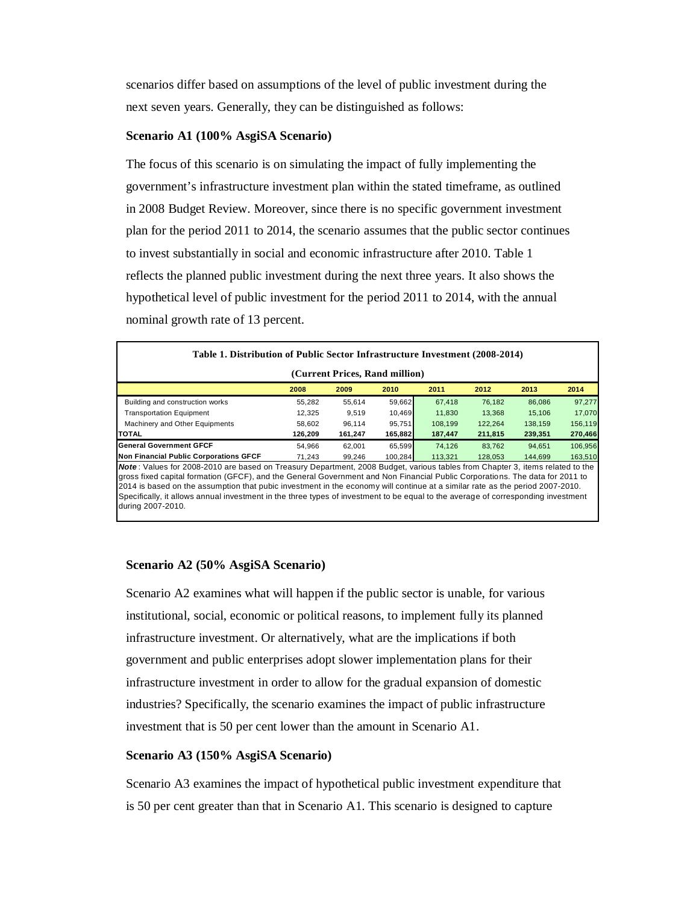scenarios differ based on assumptions of the level of public investment during the next seven years. Generally, they can be distinguished as follows:

## **Scenario A1 (100% AsgiSA Scenario)**

The focus of this scenario is on simulating the impact of fully implementing the government's infrastructure investment plan within the stated timeframe, as outlined in 2008 Budget Review. Moreover, since there is no specific government investment plan for the period 2011 to 2014, the scenario assumes that the public sector continues to invest substantially in social and economic infrastructure after 2010. Table 1 reflects the planned public investment during the next three years. It also shows the hypothetical level of public investment for the period 2011 to 2014, with the annual nominal growth rate of 13 percent.

| Table 1. Distribution of Public Sector Infrastructure Investment (2008-2014)                                                                                                                                                                                                                                                                                                                                                                                                                                                                             |         |         |         |         |         |         |         |  |  |
|----------------------------------------------------------------------------------------------------------------------------------------------------------------------------------------------------------------------------------------------------------------------------------------------------------------------------------------------------------------------------------------------------------------------------------------------------------------------------------------------------------------------------------------------------------|---------|---------|---------|---------|---------|---------|---------|--|--|
| (Current Prices, Rand million)                                                                                                                                                                                                                                                                                                                                                                                                                                                                                                                           |         |         |         |         |         |         |         |  |  |
|                                                                                                                                                                                                                                                                                                                                                                                                                                                                                                                                                          | 2008    | 2009    | 2010    | 2011    | 2012    | 2013    | 2014    |  |  |
| Building and construction works                                                                                                                                                                                                                                                                                                                                                                                                                                                                                                                          | 55,282  | 55.614  | 59,662  | 67.418  | 76,182  | 86.086  | 97,277  |  |  |
| <b>Transportation Equipment</b>                                                                                                                                                                                                                                                                                                                                                                                                                                                                                                                          | 12,325  | 9,519   | 10,469  | 11,830  | 13,368  | 15,106  | 17,070  |  |  |
| Machinery and Other Equipments                                                                                                                                                                                                                                                                                                                                                                                                                                                                                                                           | 58,602  | 96.114  | 95,751  | 108.199 | 122,264 | 138.159 | 156,119 |  |  |
| <b>TOTAL</b>                                                                                                                                                                                                                                                                                                                                                                                                                                                                                                                                             | 126,209 | 161,247 | 165,882 | 187,447 | 211,815 | 239,351 | 270,466 |  |  |
| <b>General Government GFCF</b>                                                                                                                                                                                                                                                                                                                                                                                                                                                                                                                           | 54.966  | 62.001  | 65.599  | 74.126  | 83.762  | 94.651  | 106,956 |  |  |
| <b>Non Financial Public Corporations GFCF</b>                                                                                                                                                                                                                                                                                                                                                                                                                                                                                                            | 71.243  | 99.246  | 100.284 | 113,321 | 128,053 | 144.699 | 163,510 |  |  |
| Note: Values for 2008-2010 are based on Treasury Department, 2008 Budget, various tables from Chapter 3, items related to the<br>gross fixed capital formation (GFCF), and the General Government and Non Financial Public Corporations. The data for 2011 to<br>2014 is based on the assumption that pubic investment in the economy will continue at a similar rate as the period 2007-2010.<br>Specifically, it allows annual investment in the three types of investment to be equal to the average of corresponding investment<br>during 2007-2010. |         |         |         |         |         |         |         |  |  |

# **Scenario A2 (50% AsgiSA Scenario)**

Scenario A2 examines what will happen if the public sector is unable, for various institutional, social, economic or political reasons, to implement fully its planned infrastructure investment. Or alternatively, what are the implications if both government and public enterprises adopt slower implementation plans for their infrastructure investment in order to allow for the gradual expansion of domestic industries? Specifically, the scenario examines the impact of public infrastructure investment that is 50 per cent lower than the amount in Scenario A1.

# **Scenario A3 (150% AsgiSA Scenario)**

Scenario A3 examines the impact of hypothetical public investment expenditure that is 50 per cent greater than that in Scenario A1. This scenario is designed to capture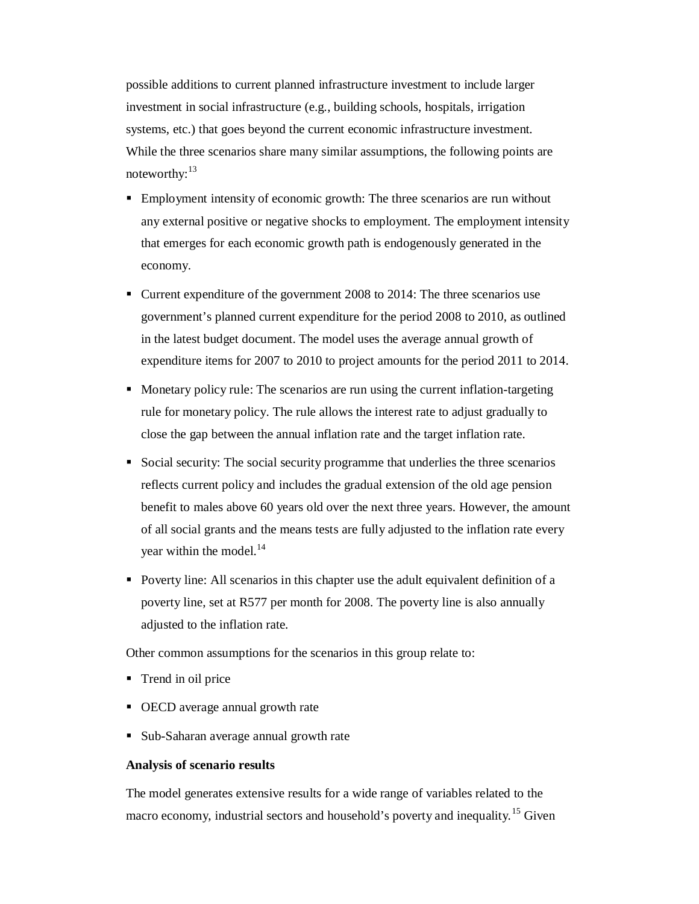possible additions to current planned infrastructure investment to include larger investment in social infrastructure (e.g., building schools, hospitals, irrigation systems, etc.) that goes beyond the current economic infrastructure investment. While the three scenarios share many similar assumptions, the following points are noteworthy:<sup>13</sup>

- Employment intensity of economic growth: The three scenarios are run without any external positive or negative shocks to employment. The employment intensity that emerges for each economic growth path is endogenously generated in the economy.
- Current expenditure of the government 2008 to 2014: The three scenarios use government's planned current expenditure for the period 2008 to 2010, as outlined in the latest budget document. The model uses the average annual growth of expenditure items for 2007 to 2010 to project amounts for the period 2011 to 2014.
- Monetary policy rule: The scenarios are run using the current inflation-targeting rule for monetary policy. The rule allows the interest rate to adjust gradually to close the gap between the annual inflation rate and the target inflation rate.
- Social security: The social security programme that underlies the three scenarios reflects current policy and includes the gradual extension of the old age pension benefit to males above 60 years old over the next three years. However, the amount of all social grants and the means tests are fully adjusted to the inflation rate every year within the model. $^{14}$
- Poverty line: All scenarios in this chapter use the adult equivalent definition of a poverty line, set at R577 per month for 2008. The poverty line is also annually adjusted to the inflation rate.

Other common assumptions for the scenarios in this group relate to:

- Trend in oil price
- OECD average annual growth rate
- Sub-Saharan average annual growth rate

#### **Analysis of scenario results**

The model generates extensive results for a wide range of variables related to the macro economy, industrial sectors and household's poverty and inequality.<sup>15</sup> Given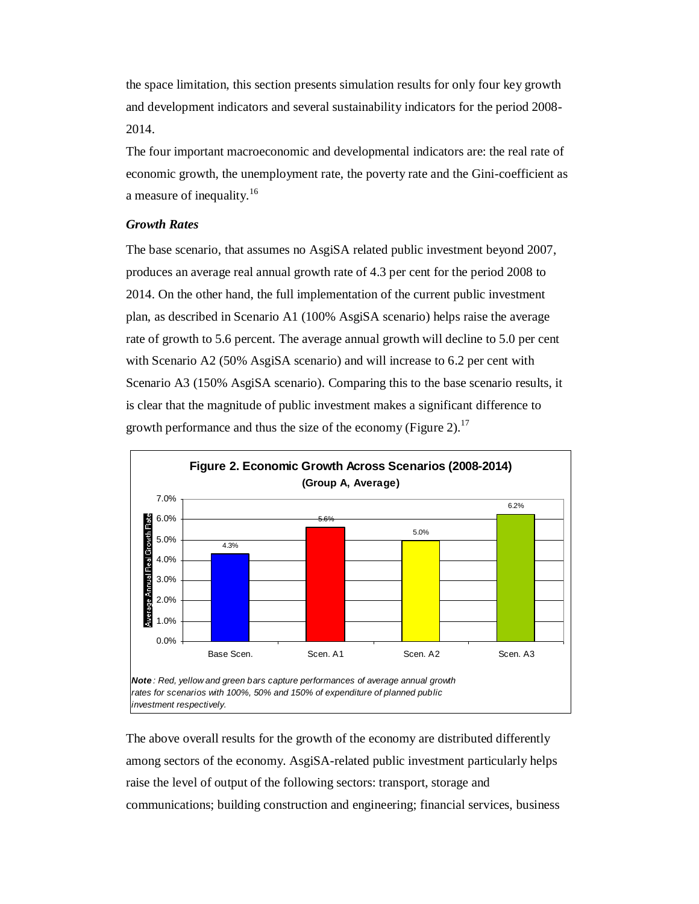the space limitation, this section presents simulation results for only four key growth and development indicators and several sustainability indicators for the period 2008- 2014.

The four important macroeconomic and developmental indicators are: the real rate of economic growth, the unemployment rate, the poverty rate and the Gini-coefficient as a measure of inequality.<sup>16</sup>

# *Growth Rates*

The base scenario, that assumes no AsgiSA related public investment beyond 2007, produces an average real annual growth rate of 4.3 per cent for the period 2008 to 2014. On the other hand, the full implementation of the current public investment plan, as described in Scenario A1 (100% AsgiSA scenario) helps raise the average rate of growth to 5.6 percent. The average annual growth will decline to 5.0 per cent with Scenario A2 (50% AsgiSA scenario) and will increase to 6.2 per cent with Scenario A3 (150% AsgiSA scenario). Comparing this to the base scenario results, it is clear that the magnitude of public investment makes a significant difference to growth performance and thus the size of the economy (Figure 2).<sup>17</sup>



The above overall results for the growth of the economy are distributed differently among sectors of the economy. AsgiSA-related public investment particularly helps raise the level of output of the following sectors: transport, storage and communications; building construction and engineering; financial services, business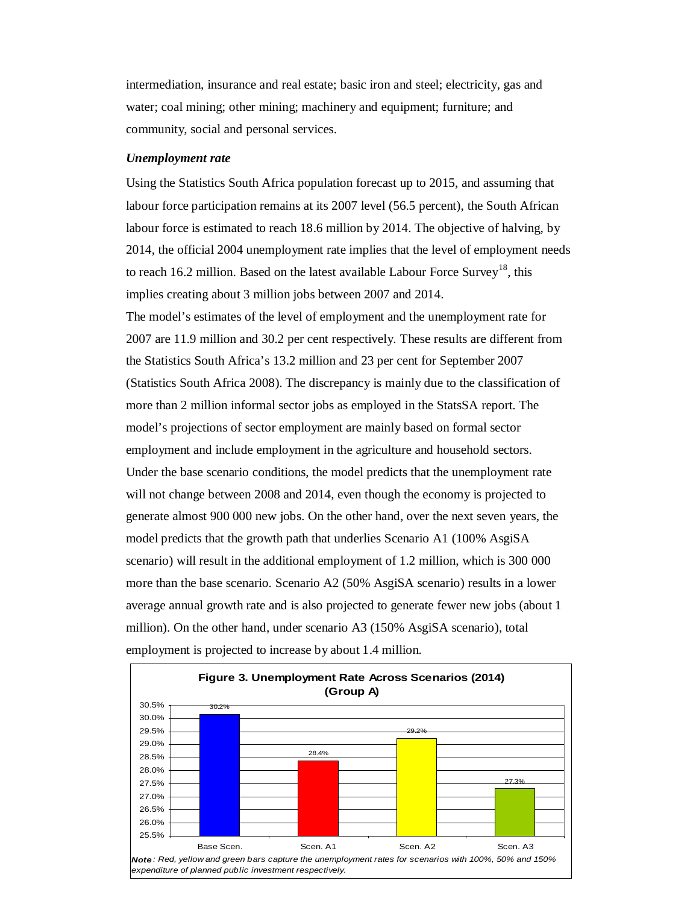intermediation, insurance and real estate; basic iron and steel; electricity, gas and water; coal mining; other mining; machinery and equipment; furniture; and community, social and personal services.

#### *Unemployment rate*

Using the Statistics South Africa population forecast up to 2015, and assuming that labour force participation remains at its 2007 level (56.5 percent), the South African labour force is estimated to reach 18.6 million by 2014. The objective of halving, by 2014, the official 2004 unemployment rate implies that the level of employment needs to reach 16.2 million. Based on the latest available Labour Force Survey<sup>18</sup>, this implies creating about 3 million jobs between 2007 and 2014. The model's estimates of the level of employment and the unemployment rate for 2007 are 11.9 million and 30.2 per cent respectively. These results are different from the Statistics South Africa's 13.2 million and 23 per cent for September 2007 (Statistics South Africa 2008). The discrepancy is mainly due to the classification of more than 2 million informal sector jobs as employed in the StatsSA report. The model's projections of sector employment are mainly based on formal sector employment and include employment in the agriculture and household sectors. Under the base scenario conditions, the model predicts that the unemployment rate will not change between 2008 and 2014, even though the economy is projected to generate almost 900 000 new jobs. On the other hand, over the next seven years, the model predicts that the growth path that underlies Scenario A1 (100% AsgiSA scenario) will result in the additional employment of 1.2 million, which is 300 000 more than the base scenario. Scenario A2 (50% AsgiSA scenario) results in a lower average annual growth rate and is also projected to generate fewer new jobs (about 1 million). On the other hand, under scenario A3 (150% AsgiSA scenario), total employment is projected to increase by about 1.4 million.

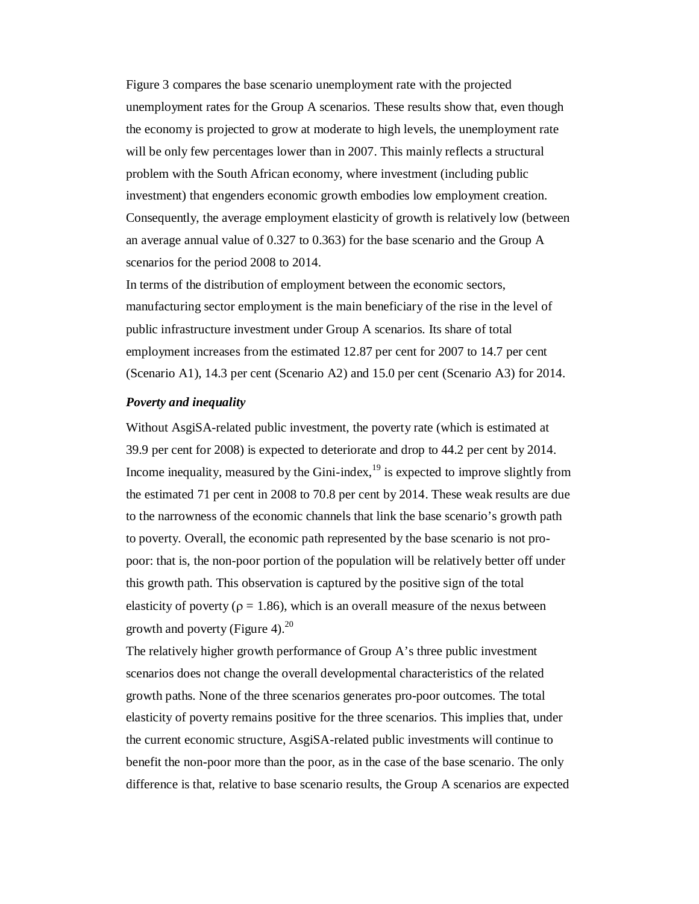Figure 3 compares the base scenario unemployment rate with the projected unemployment rates for the Group A scenarios. These results show that, even though the economy is projected to grow at moderate to high levels, the unemployment rate will be only few percentages lower than in 2007. This mainly reflects a structural problem with the South African economy, where investment (including public investment) that engenders economic growth embodies low employment creation. Consequently, the average employment elasticity of growth is relatively low (between an average annual value of 0.327 to 0.363) for the base scenario and the Group A scenarios for the period 2008 to 2014.

In terms of the distribution of employment between the economic sectors, manufacturing sector employment is the main beneficiary of the rise in the level of public infrastructure investment under Group A scenarios. Its share of total employment increases from the estimated 12.87 per cent for 2007 to 14.7 per cent (Scenario A1), 14.3 per cent (Scenario A2) and 15.0 per cent (Scenario A3) for 2014.

#### *Poverty and inequality*

Without AsgiSA-related public investment, the poverty rate (which is estimated at 39.9 per cent for 2008) is expected to deteriorate and drop to 44.2 per cent by 2014. Income inequality, measured by the Gini-index,  $19$  is expected to improve slightly from the estimated 71 per cent in 2008 to 70.8 per cent by 2014. These weak results are due to the narrowness of the economic channels that link the base scenario's growth path to poverty. Overall, the economic path represented by the base scenario is not propoor: that is, the non-poor portion of the population will be relatively better off under this growth path. This observation is captured by the positive sign of the total elasticity of poverty ( $\rho = 1.86$ ), which is an overall measure of the nexus between growth and poverty (Figure 4).<sup>20</sup>

The relatively higher growth performance of Group A's three public investment scenarios does not change the overall developmental characteristics of the related growth paths. None of the three scenarios generates pro-poor outcomes. The total elasticity of poverty remains positive for the three scenarios. This implies that, under the current economic structure, AsgiSA-related public investments will continue to benefit the non-poor more than the poor, as in the case of the base scenario. The only difference is that, relative to base scenario results, the Group A scenarios are expected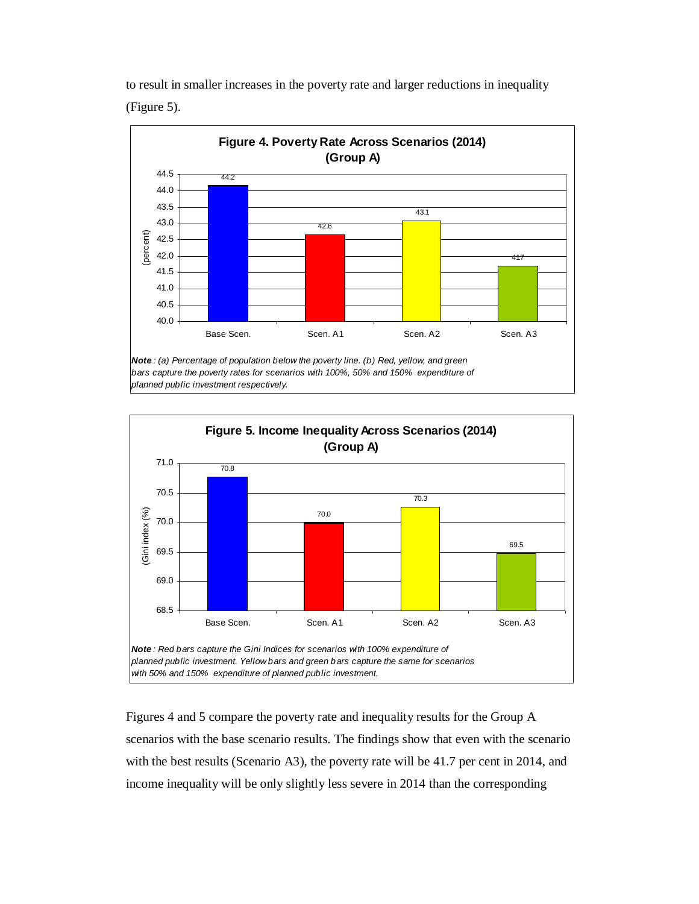to result in smaller increases in the poverty rate and larger reductions in inequality (Figure 5).





Figures 4 and 5 compare the poverty rate and inequality results for the Group A scenarios with the base scenario results. The findings show that even with the scenario with the best results (Scenario A3), the poverty rate will be 41.7 per cent in 2014, and income inequality will be only slightly less severe in 2014 than the corresponding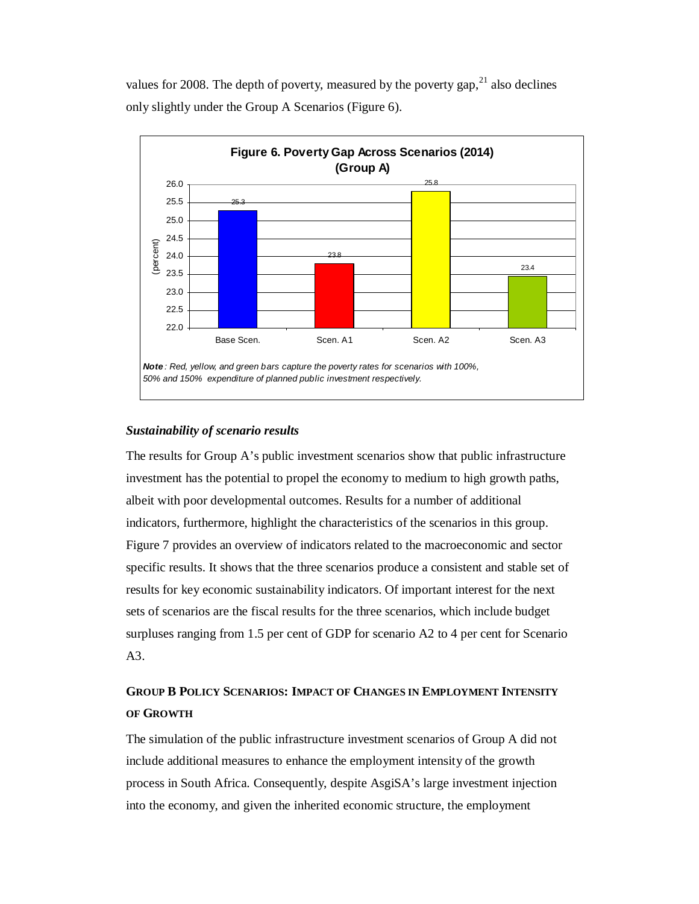values for 2008. The depth of poverty, measured by the poverty gap,  $^{21}$  also declines only slightly under the Group A Scenarios (Figure 6).



# *Sustainability of scenario results*

The results for Group A's public investment scenarios show that public infrastructure investment has the potential to propel the economy to medium to high growth paths, albeit with poor developmental outcomes. Results for a number of additional indicators, furthermore, highlight the characteristics of the scenarios in this group. Figure 7 provides an overview of indicators related to the macroeconomic and sector specific results. It shows that the three scenarios produce a consistent and stable set of results for key economic sustainability indicators. Of important interest for the next sets of scenarios are the fiscal results for the three scenarios, which include budget surpluses ranging from 1.5 per cent of GDP for scenario A2 to 4 per cent for Scenario A3.

# **GROUP B POLICY SCENARIOS: IMPACT OF CHANGES IN EMPLOYMENT INTENSITY OF GROWTH**

The simulation of the public infrastructure investment scenarios of Group A did not include additional measures to enhance the employment intensity of the growth process in South Africa. Consequently, despite AsgiSA's large investment injection into the economy, and given the inherited economic structure, the employment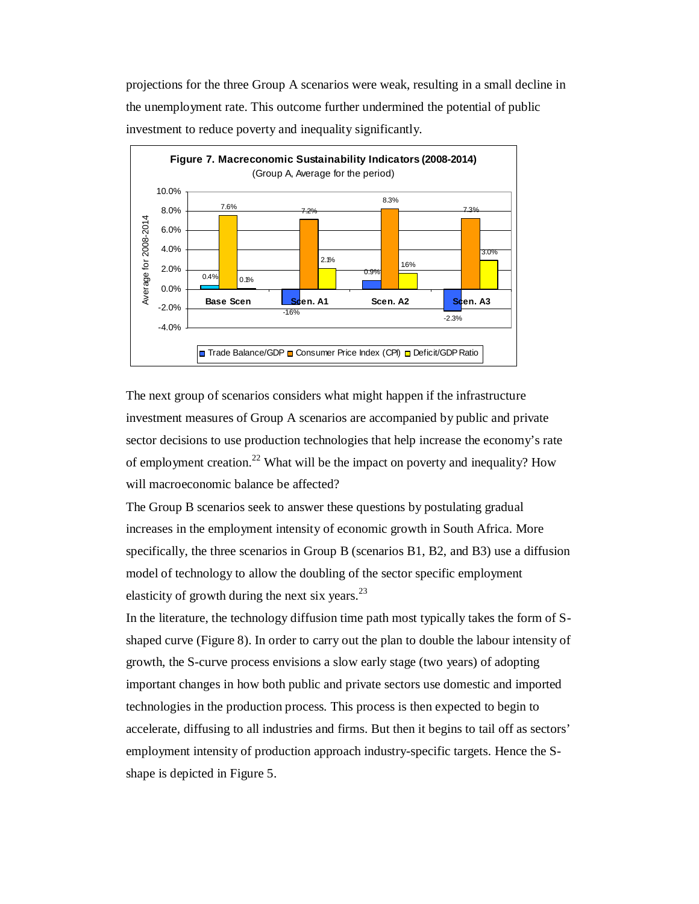projections for the three Group A scenarios were weak, resulting in a small decline in the unemployment rate. This outcome further undermined the potential of public investment to reduce poverty and inequality significantly.



The next group of scenarios considers what might happen if the infrastructure investment measures of Group A scenarios are accompanied by public and private sector decisions to use production technologies that help increase the economy's rate of employment creation.<sup>22</sup> What will be the impact on poverty and inequality? How will macroeconomic balance be affected?

The Group B scenarios seek to answer these questions by postulating gradual increases in the employment intensity of economic growth in South Africa. More specifically, the three scenarios in Group B (scenarios B1, B2, and B3) use a diffusion model of technology to allow the doubling of the sector specific employment elasticity of growth during the next six years. $^{23}$ 

In the literature, the technology diffusion time path most typically takes the form of Sshaped curve (Figure 8). In order to carry out the plan to double the labour intensity of growth, the S-curve process envisions a slow early stage (two years) of adopting important changes in how both public and private sectors use domestic and imported technologies in the production process. This process is then expected to begin to accelerate, diffusing to all industries and firms. But then it begins to tail off as sectors' employment intensity of production approach industry-specific targets. Hence the Sshape is depicted in Figure 5.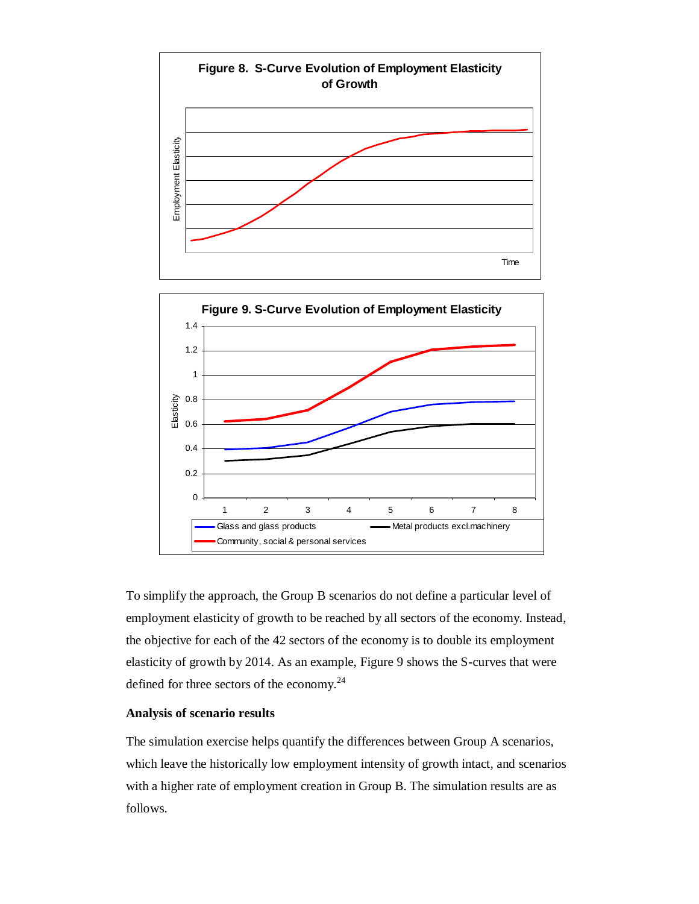

To simplify the approach, the Group B scenarios do not define a particular level of employment elasticity of growth to be reached by all sectors of the economy. Instead, the objective for each of the 42 sectors of the economy is to double its employment elasticity of growth by 2014. As an example, Figure 9 shows the S-curves that were defined for three sectors of the economy. $^{24}$ 

# **Analysis of scenario results**

The simulation exercise helps quantify the differences between Group A scenarios, which leave the historically low employment intensity of growth intact, and scenarios with a higher rate of employment creation in Group B. The simulation results are as follows.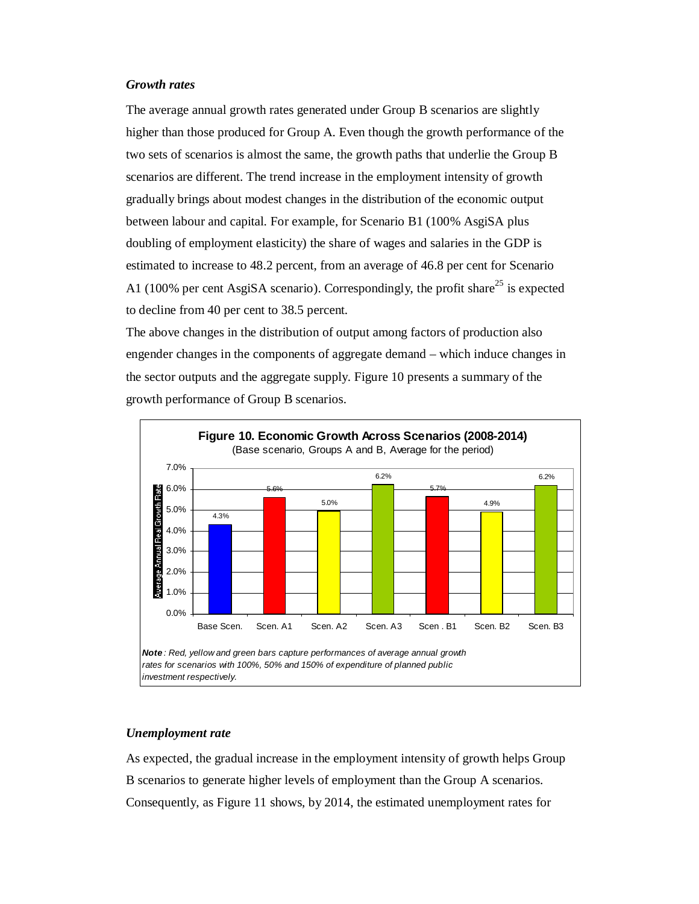#### *Growth rates*

The average annual growth rates generated under Group B scenarios are slightly higher than those produced for Group A. Even though the growth performance of the two sets of scenarios is almost the same, the growth paths that underlie the Group B scenarios are different. The trend increase in the employment intensity of growth gradually brings about modest changes in the distribution of the economic output between labour and capital. For example, for Scenario B1 (100% AsgiSA plus doubling of employment elasticity) the share of wages and salaries in the GDP is estimated to increase to 48.2 percent, from an average of 46.8 per cent for Scenario A1 (100% per cent AsgiSA scenario). Correspondingly, the profit share<sup>25</sup> is expected to decline from 40 per cent to 38.5 percent.

The above changes in the distribution of output among factors of production also engender changes in the components of aggregate demand – which induce changes in the sector outputs and the aggregate supply. Figure 10 presents a summary of the growth performance of Group B scenarios.



## *Unemployment rate*

As expected, the gradual increase in the employment intensity of growth helps Group B scenarios to generate higher levels of employment than the Group A scenarios. Consequently, as Figure 11 shows, by 2014, the estimated unemployment rates for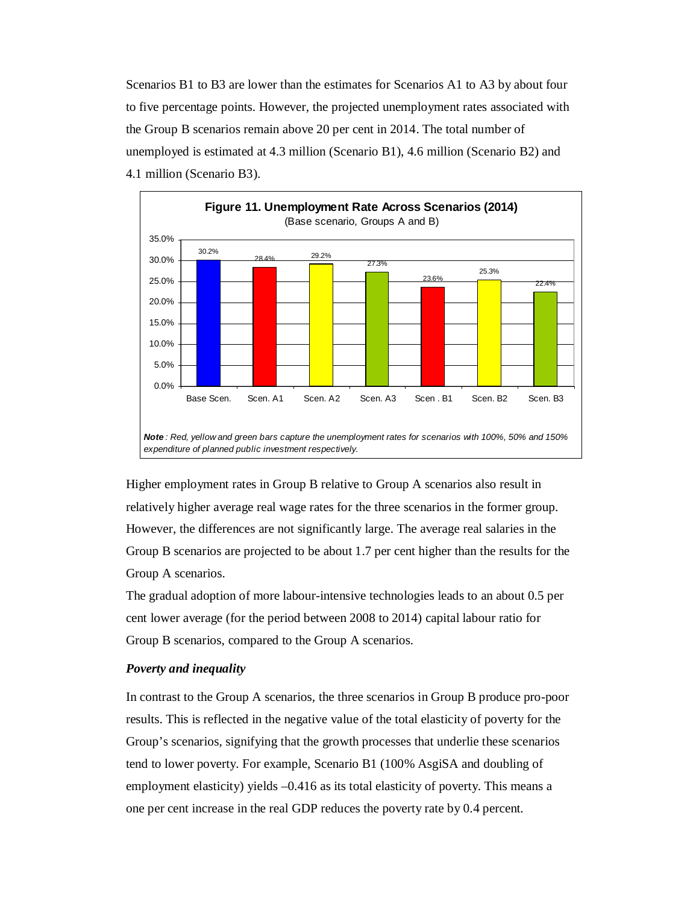Scenarios B1 to B3 are lower than the estimates for Scenarios A1 to A3 by about four to five percentage points. However, the projected unemployment rates associated with the Group B scenarios remain above 20 per cent in 2014. The total number of unemployed is estimated at 4.3 million (Scenario B1), 4.6 million (Scenario B2) and 4.1 million (Scenario B3).



Higher employment rates in Group B relative to Group A scenarios also result in relatively higher average real wage rates for the three scenarios in the former group. However, the differences are not significantly large. The average real salaries in the Group B scenarios are projected to be about 1.7 per cent higher than the results for the Group A scenarios.

The gradual adoption of more labour-intensive technologies leads to an about 0.5 per cent lower average (for the period between 2008 to 2014) capital labour ratio for Group B scenarios, compared to the Group A scenarios.

#### *Poverty and inequality*

In contrast to the Group A scenarios, the three scenarios in Group B produce pro-poor results. This is reflected in the negative value of the total elasticity of poverty for the Group's scenarios, signifying that the growth processes that underlie these scenarios tend to lower poverty. For example, Scenario B1 (100% AsgiSA and doubling of employment elasticity) yields –0.416 as its total elasticity of poverty. This means a one per cent increase in the real GDP reduces the poverty rate by 0.4 percent.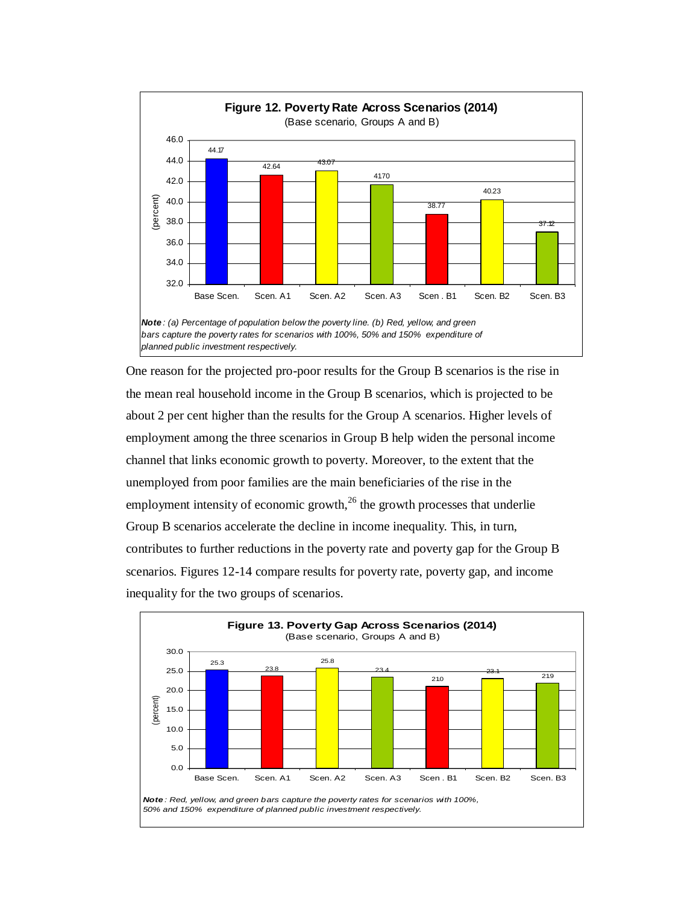

One reason for the projected pro-poor results for the Group B scenarios is the rise in the mean real household income in the Group B scenarios, which is projected to be about 2 per cent higher than the results for the Group A scenarios. Higher levels of employment among the three scenarios in Group B help widen the personal income channel that links economic growth to poverty. Moreover, to the extent that the unemployed from poor families are the main beneficiaries of the rise in the employment intensity of economic growth, $^{26}$  the growth processes that underlie Group B scenarios accelerate the decline in income inequality. This, in turn, contributes to further reductions in the poverty rate and poverty gap for the Group B scenarios. Figures 12-14 compare results for poverty rate, poverty gap, and income inequality for the two groups of scenarios.

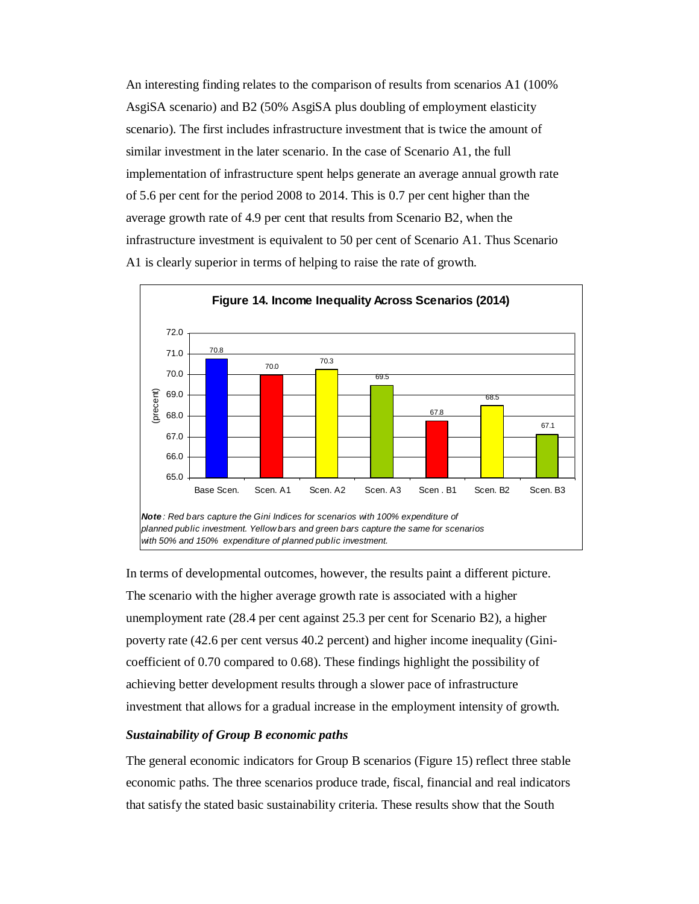An interesting finding relates to the comparison of results from scenarios A1 (100% AsgiSA scenario) and B2 (50% AsgiSA plus doubling of employment elasticity scenario). The first includes infrastructure investment that is twice the amount of similar investment in the later scenario. In the case of Scenario A1, the full implementation of infrastructure spent helps generate an average annual growth rate of 5.6 per cent for the period 2008 to 2014. This is 0.7 per cent higher than the average growth rate of 4.9 per cent that results from Scenario B2, when the infrastructure investment is equivalent to 50 per cent of Scenario A1. Thus Scenario A1 is clearly superior in terms of helping to raise the rate of growth.



In terms of developmental outcomes, however, the results paint a different picture. The scenario with the higher average growth rate is associated with a higher unemployment rate (28.4 per cent against 25.3 per cent for Scenario B2), a higher poverty rate (42.6 per cent versus 40.2 percent) and higher income inequality (Ginicoefficient of 0.70 compared to 0.68). These findings highlight the possibility of achieving better development results through a slower pace of infrastructure investment that allows for a gradual increase in the employment intensity of growth.

# *Sustainability of Group B economic paths*

The general economic indicators for Group B scenarios (Figure 15) reflect three stable economic paths. The three scenarios produce trade, fiscal, financial and real indicators that satisfy the stated basic sustainability criteria. These results show that the South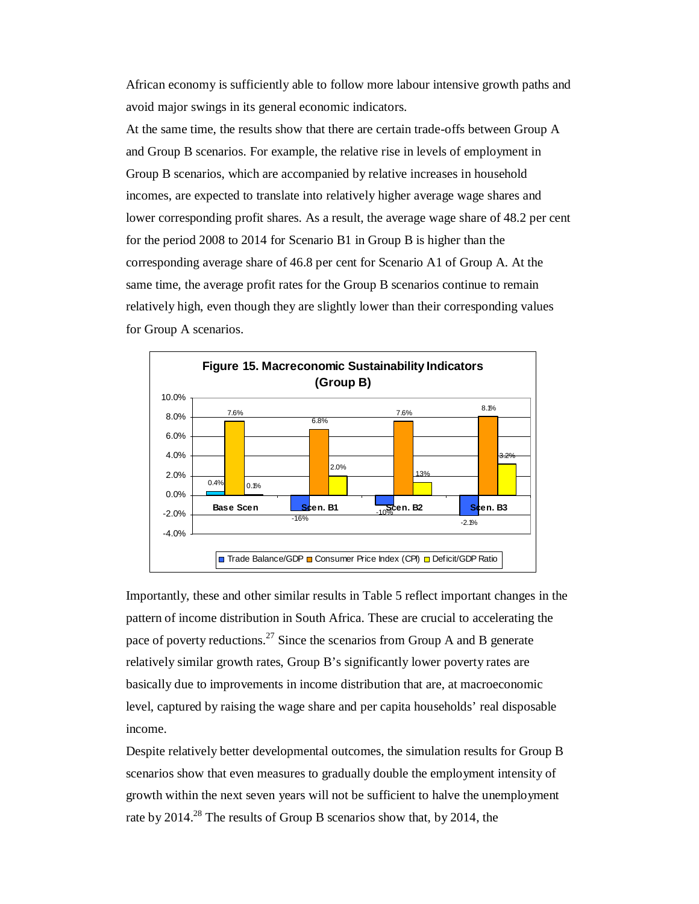African economy is sufficiently able to follow more labour intensive growth paths and avoid major swings in its general economic indicators.

At the same time, the results show that there are certain trade-offs between Group A and Group B scenarios. For example, the relative rise in levels of employment in Group B scenarios, which are accompanied by relative increases in household incomes, are expected to translate into relatively higher average wage shares and lower corresponding profit shares. As a result, the average wage share of 48.2 per cent for the period 2008 to 2014 for Scenario B1 in Group B is higher than the corresponding average share of 46.8 per cent for Scenario A1 of Group A. At the same time, the average profit rates for the Group B scenarios continue to remain relatively high, even though they are slightly lower than their corresponding values for Group A scenarios.



Importantly, these and other similar results in Table 5 reflect important changes in the pattern of income distribution in South Africa. These are crucial to accelerating the pace of poverty reductions.<sup>27</sup> Since the scenarios from Group A and B generate relatively similar growth rates, Group B's significantly lower poverty rates are basically due to improvements in income distribution that are, at macroeconomic level, captured by raising the wage share and per capita households' real disposable income.

Despite relatively better developmental outcomes, the simulation results for Group B scenarios show that even measures to gradually double the employment intensity of growth within the next seven years will not be sufficient to halve the unemployment rate by  $2014<sup>28</sup>$ . The results of Group B scenarios show that, by 2014, the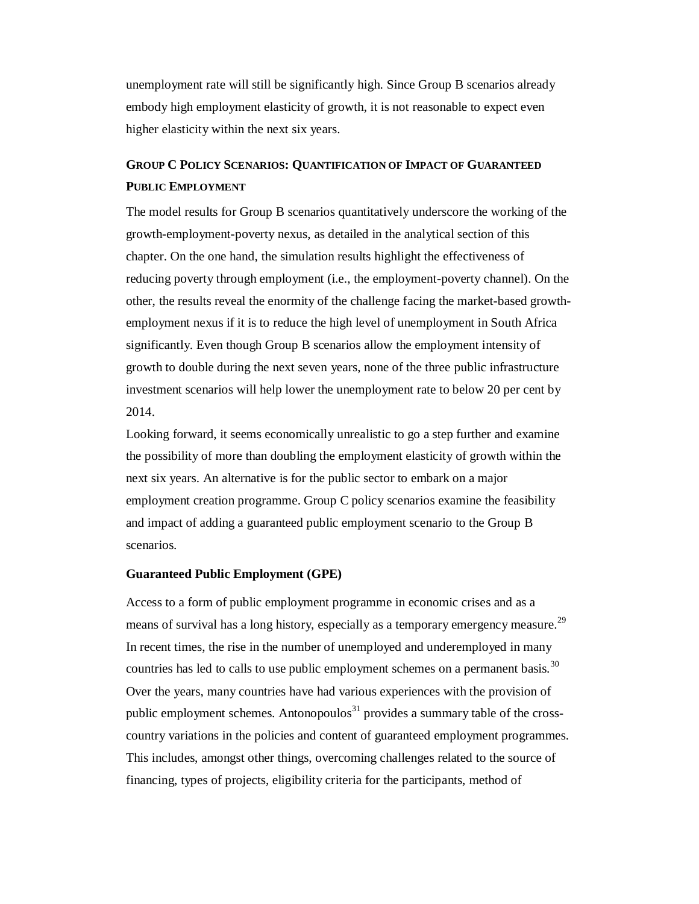unemployment rate will still be significantly high. Since Group B scenarios already embody high employment elasticity of growth, it is not reasonable to expect even higher elasticity within the next six years.

# **GROUP C POLICY SCENARIOS: QUANTIFICATION OF IMPACT OF GUARANTEED PUBLIC EMPLOYMENT**

The model results for Group B scenarios quantitatively underscore the working of the growth-employment-poverty nexus, as detailed in the analytical section of this chapter. On the one hand, the simulation results highlight the effectiveness of reducing poverty through employment (i.e., the employment-poverty channel). On the other, the results reveal the enormity of the challenge facing the market-based growthemployment nexus if it is to reduce the high level of unemployment in South Africa significantly. Even though Group B scenarios allow the employment intensity of growth to double during the next seven years, none of the three public infrastructure investment scenarios will help lower the unemployment rate to below 20 per cent by 2014.

Looking forward, it seems economically unrealistic to go a step further and examine the possibility of more than doubling the employment elasticity of growth within the next six years. An alternative is for the public sector to embark on a major employment creation programme. Group C policy scenarios examine the feasibility and impact of adding a guaranteed public employment scenario to the Group B scenarios.

# **Guaranteed Public Employment (GPE)**

Access to a form of public employment programme in economic crises and as a means of survival has a long history, especially as a temporary emergency measure.<sup>29</sup> In recent times, the rise in the number of unemployed and underemployed in many countries has led to calls to use public employment schemes on a permanent basis.<sup>30</sup> Over the years, many countries have had various experiences with the provision of public employment schemes. Antonopoulos<sup>31</sup> provides a summary table of the crosscountry variations in the policies and content of guaranteed employment programmes. This includes, amongst other things, overcoming challenges related to the source of financing, types of projects, eligibility criteria for the participants, method of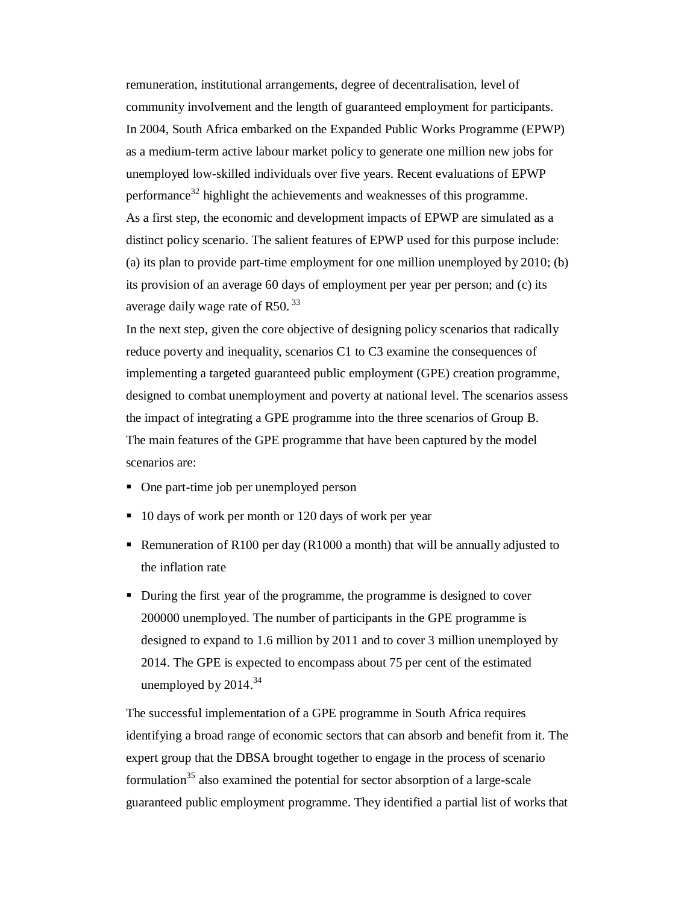remuneration, institutional arrangements, degree of decentralisation, level of community involvement and the length of guaranteed employment for participants. In 2004, South Africa embarked on the Expanded Public Works Programme (EPWP) as a medium-term active labour market policy to generate one million new jobs for unemployed low-skilled individuals over five years. Recent evaluations of EPWP performance<sup>32</sup> highlight the achievements and weaknesses of this programme. As a first step, the economic and development impacts of EPWP are simulated as a distinct policy scenario. The salient features of EPWP used for this purpose include: (a) its plan to provide part-time employment for one million unemployed by 2010; (b) its provision of an average 60 days of employment per year per person; and (c) its average daily wage rate of R50.<sup>33</sup>

In the next step, given the core objective of designing policy scenarios that radically reduce poverty and inequality, scenarios C1 to C3 examine the consequences of implementing a targeted guaranteed public employment (GPE) creation programme, designed to combat unemployment and poverty at national level. The scenarios assess the impact of integrating a GPE programme into the three scenarios of Group B. The main features of the GPE programme that have been captured by the model scenarios are:

- One part-time job per unemployed person
- 10 days of work per month or 120 days of work per year
- Remuneration of R100 per day (R1000 a month) that will be annually adjusted to the inflation rate
- During the first year of the programme, the programme is designed to cover 200000 unemployed. The number of participants in the GPE programme is designed to expand to 1.6 million by 2011 and to cover 3 million unemployed by 2014. The GPE is expected to encompass about 75 per cent of the estimated unemployed by  $2014.<sup>34</sup>$

The successful implementation of a GPE programme in South Africa requires identifying a broad range of economic sectors that can absorb and benefit from it. The expert group that the DBSA brought together to engage in the process of scenario formulation<sup>35</sup> also examined the potential for sector absorption of a large-scale guaranteed public employment programme. They identified a partial list of works that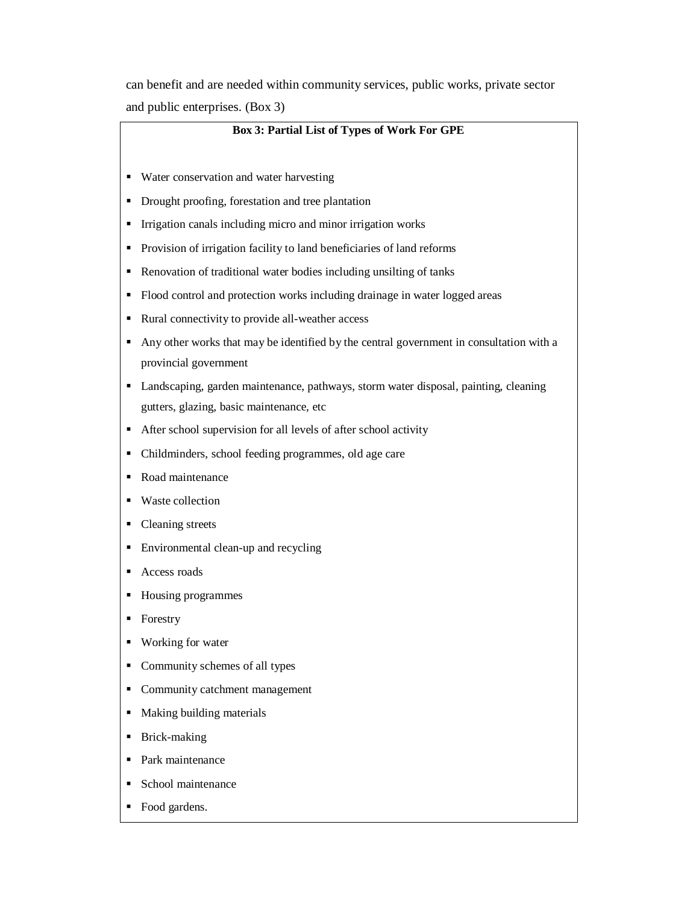can benefit and are needed within community services, public works, private sector and public enterprises. (Box 3)

#### **Box 3: Partial List of Types of Work For GPE**

- Water conservation and water harvesting
- Drought proofing, forestation and tree plantation
- **Irrigation canals including micro and minor irrigation works**
- **Provision of irrigation facility to land beneficiaries of land reforms**
- Renovation of traditional water bodies including unsilting of tanks
- Flood control and protection works including drainage in water logged areas
- Rural connectivity to provide all-weather access
- Any other works that may be identified by the central government in consultation with a provincial government
- Landscaping, garden maintenance, pathways, storm water disposal, painting, cleaning gutters, glazing, basic maintenance, etc
- After school supervision for all levels of after school activity
- Childminders, school feeding programmes, old age care
- Road maintenance
- Waste collection
- Cleaning streets
- **Environmental clean-up and recycling**
- Access roads
- Housing programmes
- Forestry
- Working for water
- Community schemes of all types
- Community catchment management
- Making building materials
- **Brick-making**
- Park maintenance
- School maintenance
- Food gardens.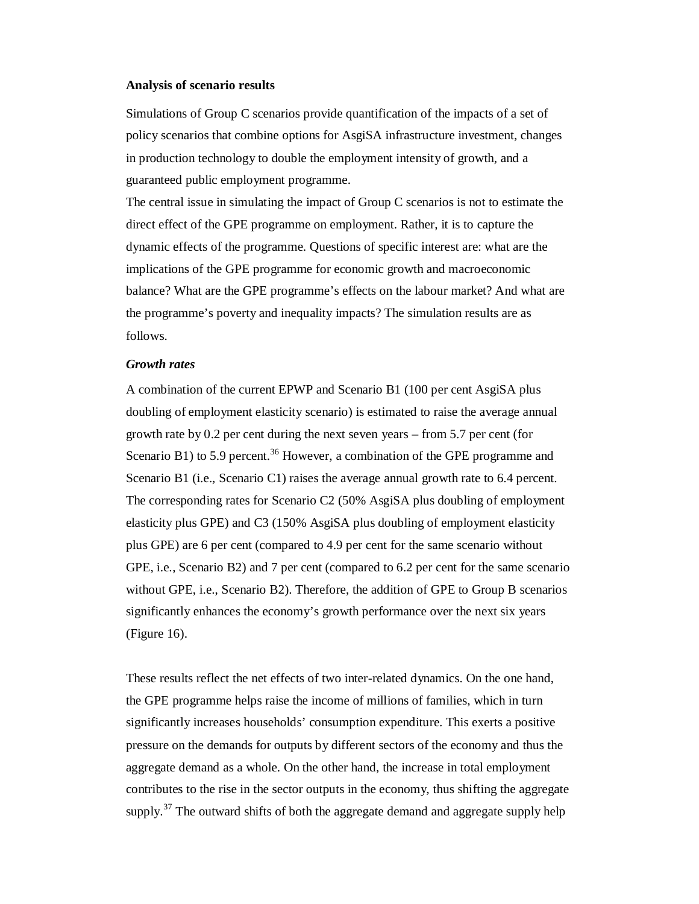#### **Analysis of scenario results**

Simulations of Group C scenarios provide quantification of the impacts of a set of policy scenarios that combine options for AsgiSA infrastructure investment, changes in production technology to double the employment intensity of growth, and a guaranteed public employment programme.

The central issue in simulating the impact of Group C scenarios is not to estimate the direct effect of the GPE programme on employment. Rather, it is to capture the dynamic effects of the programme. Questions of specific interest are: what are the implications of the GPE programme for economic growth and macroeconomic balance? What are the GPE programme's effects on the labour market? And what are the programme's poverty and inequality impacts? The simulation results are as follows.

#### *Growth rates*

A combination of the current EPWP and Scenario B1 (100 per cent AsgiSA plus doubling of employment elasticity scenario) is estimated to raise the average annual growth rate by 0.2 per cent during the next seven years – from 5.7 per cent (for Scenario B1) to 5.9 percent.<sup>36</sup> However, a combination of the GPE programme and Scenario B1 (i.e., Scenario C1) raises the average annual growth rate to 6.4 percent. The corresponding rates for Scenario C2 (50% AsgiSA plus doubling of employment elasticity plus GPE) and C3 (150% AsgiSA plus doubling of employment elasticity plus GPE) are 6 per cent (compared to 4.9 per cent for the same scenario without GPE, i.e., Scenario B2) and 7 per cent (compared to 6.2 per cent for the same scenario without GPE, i.e., Scenario B2). Therefore, the addition of GPE to Group B scenarios significantly enhances the economy's growth performance over the next six years (Figure 16).

These results reflect the net effects of two inter-related dynamics. On the one hand, the GPE programme helps raise the income of millions of families, which in turn significantly increases households' consumption expenditure. This exerts a positive pressure on the demands for outputs by different sectors of the economy and thus the aggregate demand as a whole. On the other hand, the increase in total employment contributes to the rise in the sector outputs in the economy, thus shifting the aggregate supply. $37$  The outward shifts of both the aggregate demand and aggregate supply help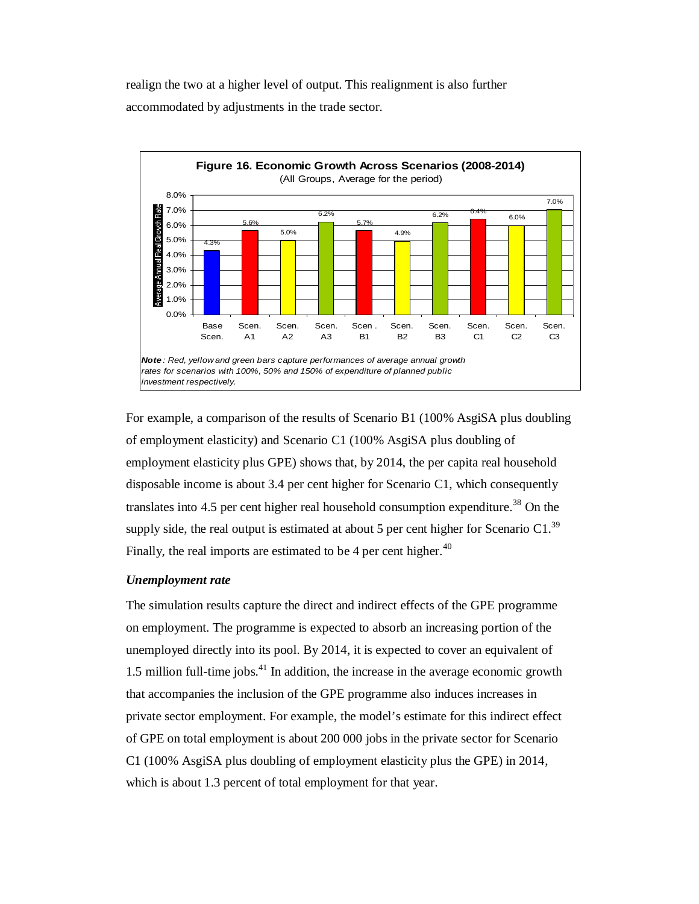realign the two at a higher level of output. This realignment is also further accommodated by adjustments in the trade sector.



For example, a comparison of the results of Scenario B1 (100% AsgiSA plus doubling of employment elasticity) and Scenario C1 (100% AsgiSA plus doubling of employment elasticity plus GPE) shows that, by 2014, the per capita real household disposable income is about 3.4 per cent higher for Scenario C1, which consequently translates into  $4.5$  per cent higher real household consumption expenditure.<sup>38</sup> On the supply side, the real output is estimated at about 5 per cent higher for Scenario C1.<sup>39</sup> Finally, the real imports are estimated to be  $4$  per cent higher.<sup>40</sup>

#### *Unemployment rate*

The simulation results capture the direct and indirect effects of the GPE programme on employment. The programme is expected to absorb an increasing portion of the unemployed directly into its pool. By 2014, it is expected to cover an equivalent of 1.5 million full-time jobs.<sup>41</sup> In addition, the increase in the average economic growth that accompanies the inclusion of the GPE programme also induces increases in private sector employment. For example, the model's estimate for this indirect effect of GPE on total employment is about 200 000 jobs in the private sector for Scenario C1 (100% AsgiSA plus doubling of employment elasticity plus the GPE) in 2014, which is about 1.3 percent of total employment for that year.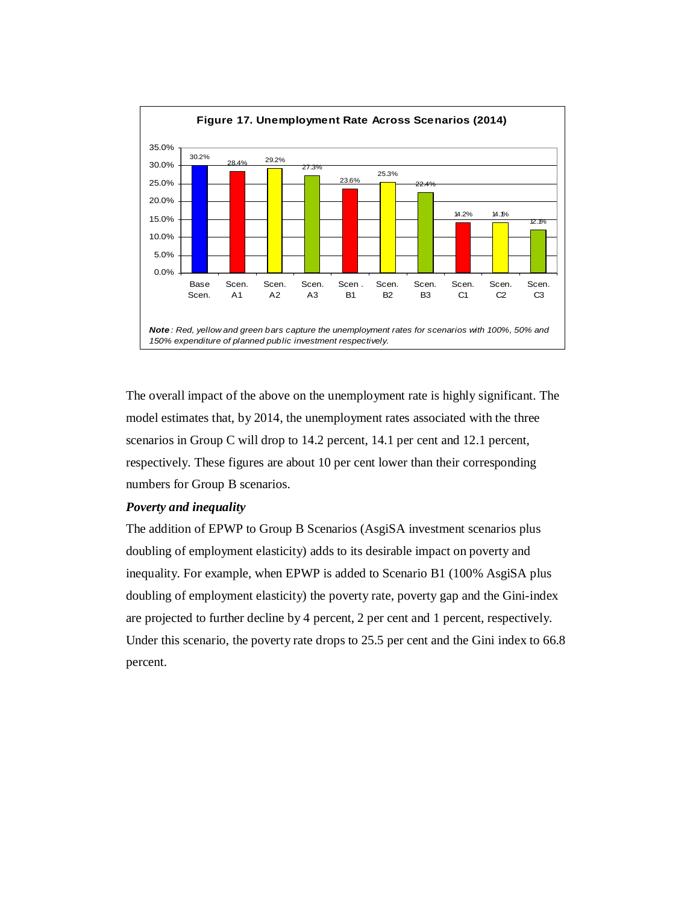

The overall impact of the above on the unemployment rate is highly significant. The model estimates that, by 2014, the unemployment rates associated with the three scenarios in Group C will drop to 14.2 percent, 14.1 per cent and 12.1 percent, respectively. These figures are about 10 per cent lower than their corresponding numbers for Group B scenarios.

## *Poverty and inequality*

The addition of EPWP to Group B Scenarios (AsgiSA investment scenarios plus doubling of employment elasticity) adds to its desirable impact on poverty and inequality. For example, when EPWP is added to Scenario B1 (100% AsgiSA plus doubling of employment elasticity) the poverty rate, poverty gap and the Gini-index are projected to further decline by 4 percent, 2 per cent and 1 percent, respectively. Under this scenario, the poverty rate drops to 25.5 per cent and the Gini index to 66.8 percent.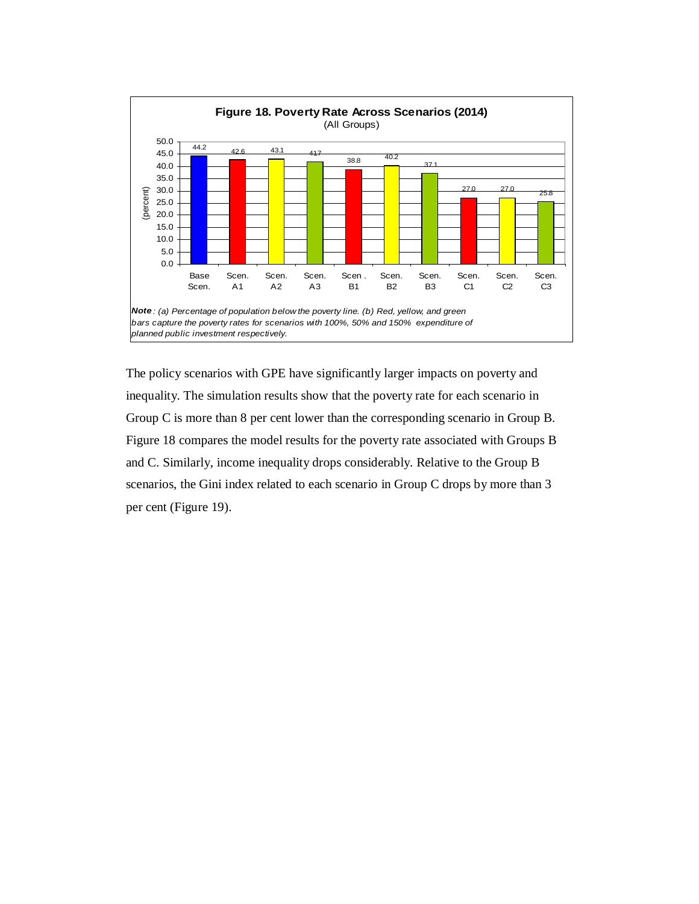

The policy scenarios with GPE have significantly larger impacts on poverty and inequality. The simulation results show that the poverty rate for each scenario in Group C is more than 8 per cent lower than the corresponding scenario in Group B. Figure 18 compares the model results for the poverty rate associated with Groups B and C. Similarly, income inequality drops considerably. Relative to the Group B scenarios, the Gini index related to each scenario in Group C drops by more than 3 per cent (Figure 19).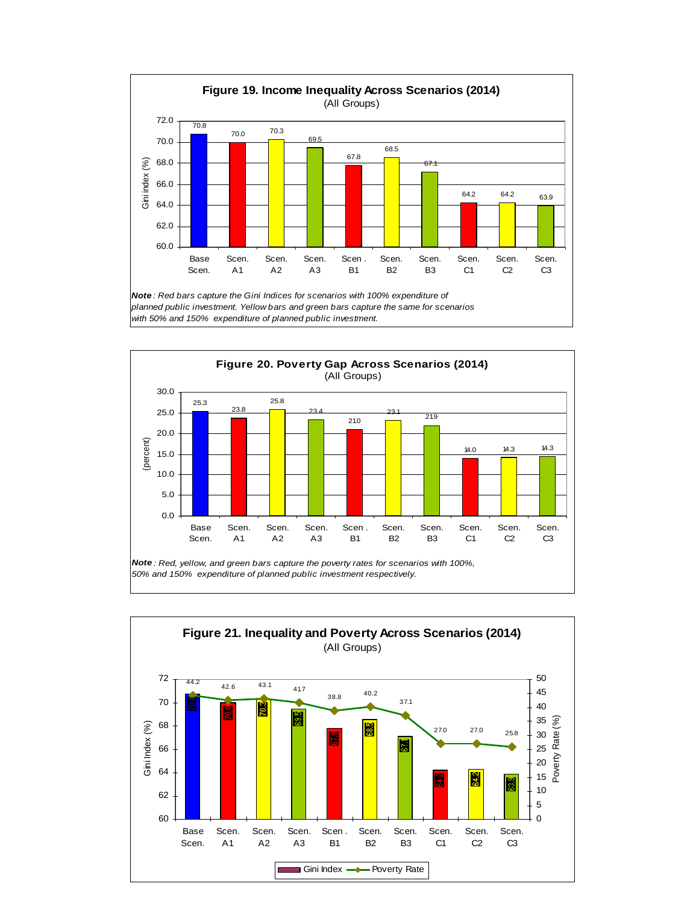



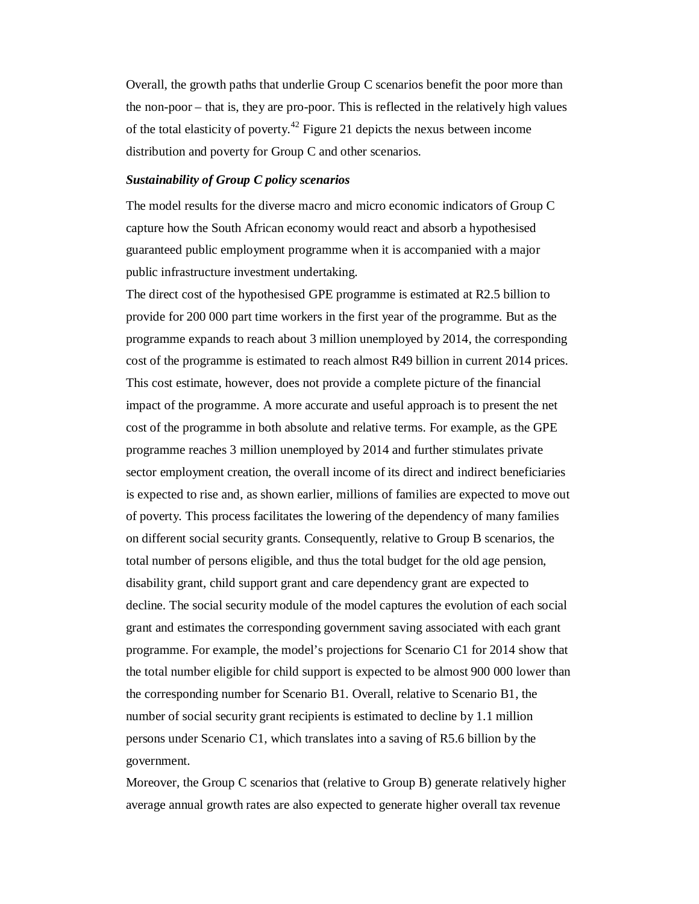Overall, the growth paths that underlie Group C scenarios benefit the poor more than the non-poor – that is, they are pro-poor. This is reflected in the relatively high values of the total elasticity of poverty.<sup>42</sup> Figure 21 depicts the nexus between income distribution and poverty for Group C and other scenarios.

#### *Sustainability of Group C policy scenarios*

The model results for the diverse macro and micro economic indicators of Group C capture how the South African economy would react and absorb a hypothesised guaranteed public employment programme when it is accompanied with a major public infrastructure investment undertaking.

The direct cost of the hypothesised GPE programme is estimated at R2.5 billion to provide for 200 000 part time workers in the first year of the programme. But as the programme expands to reach about 3 million unemployed by 2014, the corresponding cost of the programme is estimated to reach almost R49 billion in current 2014 prices. This cost estimate, however, does not provide a complete picture of the financial impact of the programme. A more accurate and useful approach is to present the net cost of the programme in both absolute and relative terms. For example, as the GPE programme reaches 3 million unemployed by 2014 and further stimulates private sector employment creation, the overall income of its direct and indirect beneficiaries is expected to rise and, as shown earlier, millions of families are expected to move out of poverty. This process facilitates the lowering of the dependency of many families on different social security grants. Consequently, relative to Group B scenarios, the total number of persons eligible, and thus the total budget for the old age pension, disability grant, child support grant and care dependency grant are expected to decline. The social security module of the model captures the evolution of each social grant and estimates the corresponding government saving associated with each grant programme. For example, the model's projections for Scenario C1 for 2014 show that the total number eligible for child support is expected to be almost 900 000 lower than the corresponding number for Scenario B1. Overall, relative to Scenario B1, the number of social security grant recipients is estimated to decline by 1.1 million persons under Scenario C1, which translates into a saving of R5.6 billion by the government.

Moreover, the Group C scenarios that (relative to Group B) generate relatively higher average annual growth rates are also expected to generate higher overall tax revenue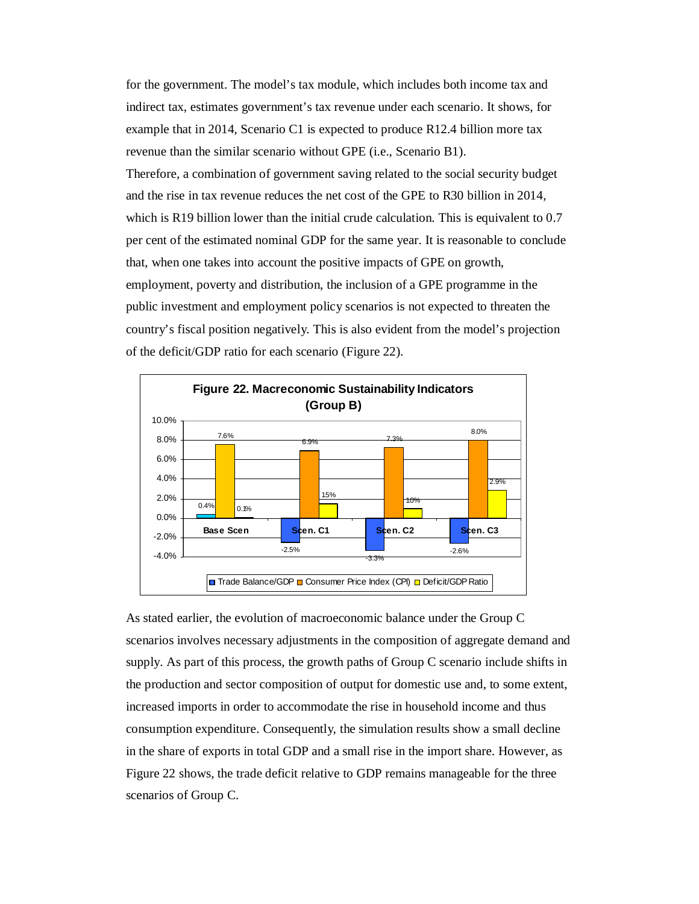for the government. The model's tax module, which includes both income tax and indirect tax, estimates government's tax revenue under each scenario. It shows, for example that in 2014, Scenario C1 is expected to produce R12.4 billion more tax revenue than the similar scenario without GPE (i.e., Scenario B1).

Therefore, a combination of government saving related to the social security budget and the rise in tax revenue reduces the net cost of the GPE to R30 billion in 2014, which is R19 billion lower than the initial crude calculation. This is equivalent to 0.7 per cent of the estimated nominal GDP for the same year. It is reasonable to conclude that, when one takes into account the positive impacts of GPE on growth, employment, poverty and distribution, the inclusion of a GPE programme in the public investment and employment policy scenarios is not expected to threaten the country's fiscal position negatively. This is also evident from the model's projection of the deficit/GDP ratio for each scenario (Figure 22).



As stated earlier, the evolution of macroeconomic balance under the Group C scenarios involves necessary adjustments in the composition of aggregate demand and supply. As part of this process, the growth paths of Group C scenario include shifts in the production and sector composition of output for domestic use and, to some extent, increased imports in order to accommodate the rise in household income and thus consumption expenditure. Consequently, the simulation results show a small decline in the share of exports in total GDP and a small rise in the import share. However, as Figure 22 shows, the trade deficit relative to GDP remains manageable for the three scenarios of Group C.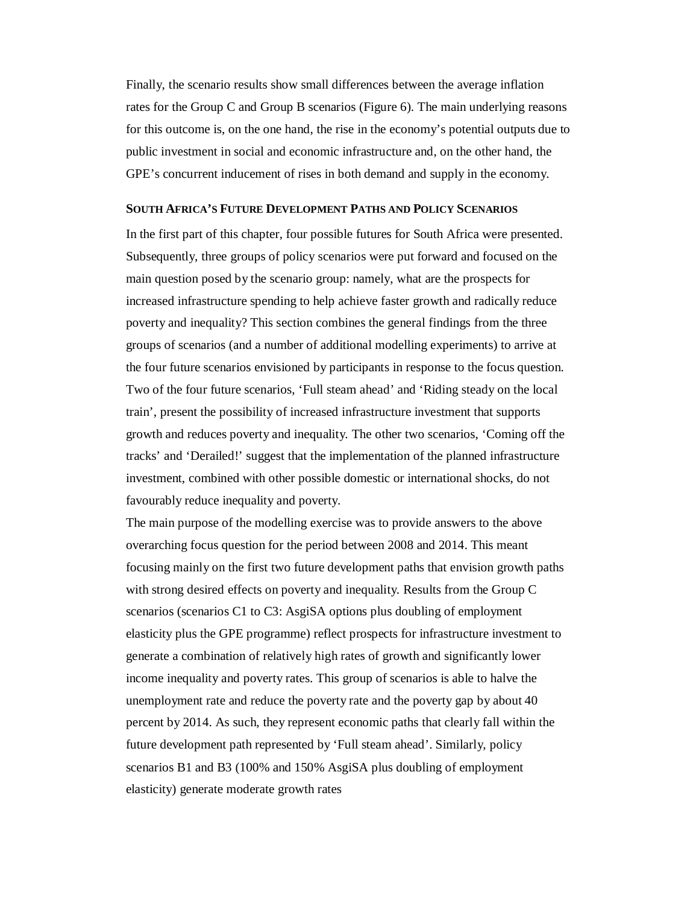Finally, the scenario results show small differences between the average inflation rates for the Group C and Group B scenarios (Figure 6). The main underlying reasons for this outcome is, on the one hand, the rise in the economy's potential outputs due to public investment in social and economic infrastructure and, on the other hand, the GPE's concurrent inducement of rises in both demand and supply in the economy.

#### **SOUTH AFRICA'S FUTURE DEVELOPMENT PATHS AND POLICY SCENARIOS**

In the first part of this chapter, four possible futures for South Africa were presented. Subsequently, three groups of policy scenarios were put forward and focused on the main question posed by the scenario group: namely, what are the prospects for increased infrastructure spending to help achieve faster growth and radically reduce poverty and inequality? This section combines the general findings from the three groups of scenarios (and a number of additional modelling experiments) to arrive at the four future scenarios envisioned by participants in response to the focus question. Two of the four future scenarios, 'Full steam ahead' and 'Riding steady on the local train', present the possibility of increased infrastructure investment that supports growth and reduces poverty and inequality. The other two scenarios, 'Coming off the tracks' and 'Derailed!' suggest that the implementation of the planned infrastructure investment, combined with other possible domestic or international shocks, do not favourably reduce inequality and poverty.

The main purpose of the modelling exercise was to provide answers to the above overarching focus question for the period between 2008 and 2014. This meant focusing mainly on the first two future development paths that envision growth paths with strong desired effects on poverty and inequality. Results from the Group C scenarios (scenarios C1 to C3: AsgiSA options plus doubling of employment elasticity plus the GPE programme) reflect prospects for infrastructure investment to generate a combination of relatively high rates of growth and significantly lower income inequality and poverty rates. This group of scenarios is able to halve the unemployment rate and reduce the poverty rate and the poverty gap by about 40 percent by 2014. As such, they represent economic paths that clearly fall within the future development path represented by 'Full steam ahead'. Similarly, policy scenarios B1 and B3 (100% and 150% AsgiSA plus doubling of employment elasticity) generate moderate growth rates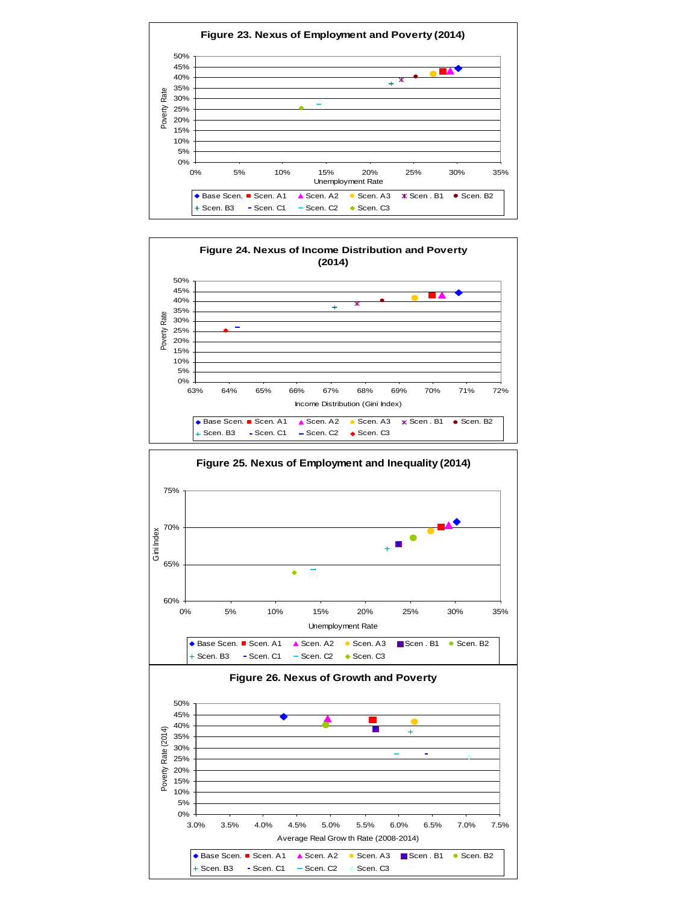



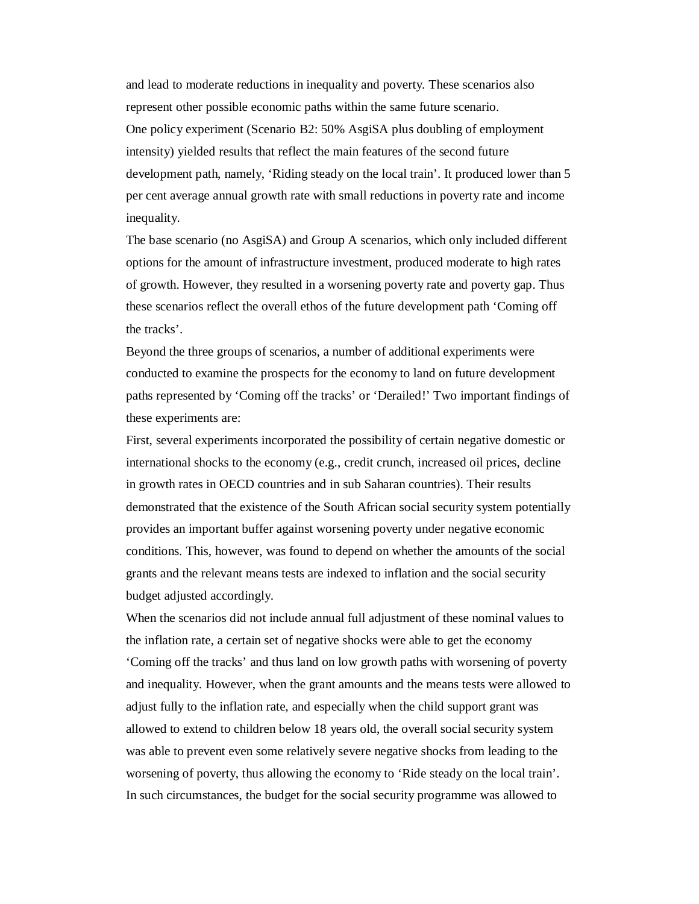and lead to moderate reductions in inequality and poverty. These scenarios also represent other possible economic paths within the same future scenario. One policy experiment (Scenario B2: 50% AsgiSA plus doubling of employment intensity) yielded results that reflect the main features of the second future development path, namely, 'Riding steady on the local train'. It produced lower than 5 per cent average annual growth rate with small reductions in poverty rate and income inequality.

The base scenario (no AsgiSA) and Group A scenarios, which only included different options for the amount of infrastructure investment, produced moderate to high rates of growth. However, they resulted in a worsening poverty rate and poverty gap. Thus these scenarios reflect the overall ethos of the future development path 'Coming off the tracks'.

Beyond the three groups of scenarios, a number of additional experiments were conducted to examine the prospects for the economy to land on future development paths represented by 'Coming off the tracks' or 'Derailed!' Two important findings of these experiments are:

First, several experiments incorporated the possibility of certain negative domestic or international shocks to the economy (e.g., credit crunch, increased oil prices, decline in growth rates in OECD countries and in sub Saharan countries). Their results demonstrated that the existence of the South African social security system potentially provides an important buffer against worsening poverty under negative economic conditions. This, however, was found to depend on whether the amounts of the social grants and the relevant means tests are indexed to inflation and the social security budget adjusted accordingly.

When the scenarios did not include annual full adjustment of these nominal values to the inflation rate, a certain set of negative shocks were able to get the economy 'Coming off the tracks' and thus land on low growth paths with worsening of poverty and inequality. However, when the grant amounts and the means tests were allowed to adjust fully to the inflation rate, and especially when the child support grant was allowed to extend to children below 18 years old, the overall social security system was able to prevent even some relatively severe negative shocks from leading to the worsening of poverty, thus allowing the economy to 'Ride steady on the local train'. In such circumstances, the budget for the social security programme was allowed to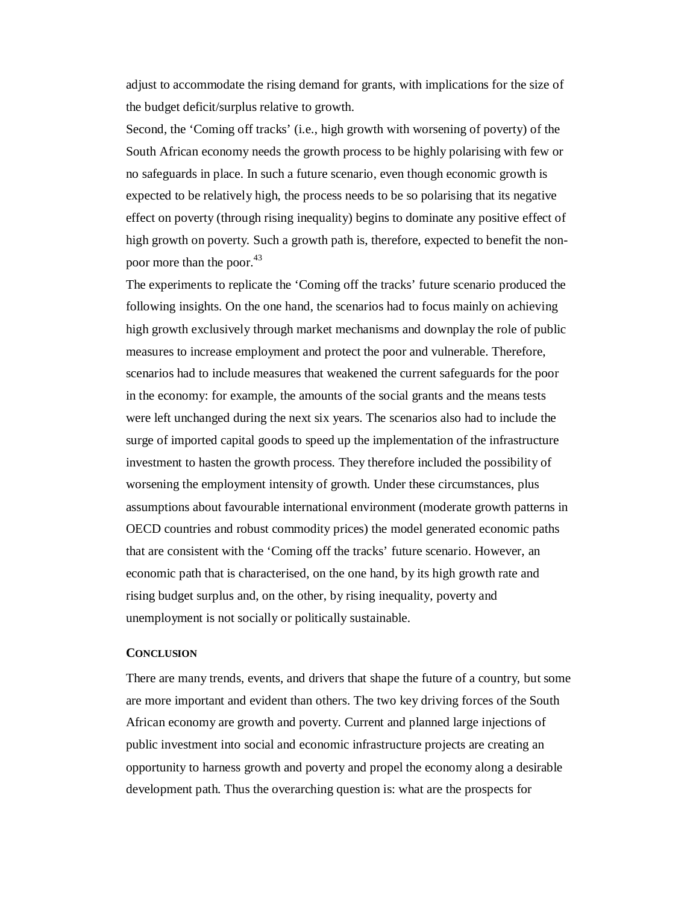adjust to accommodate the rising demand for grants, with implications for the size of the budget deficit/surplus relative to growth.

Second, the 'Coming off tracks' (i.e., high growth with worsening of poverty) of the South African economy needs the growth process to be highly polarising with few or no safeguards in place. In such a future scenario, even though economic growth is expected to be relatively high, the process needs to be so polarising that its negative effect on poverty (through rising inequality) begins to dominate any positive effect of high growth on poverty. Such a growth path is, therefore, expected to benefit the nonpoor more than the poor.<sup>43</sup>

The experiments to replicate the 'Coming off the tracks' future scenario produced the following insights. On the one hand, the scenarios had to focus mainly on achieving high growth exclusively through market mechanisms and downplay the role of public measures to increase employment and protect the poor and vulnerable. Therefore, scenarios had to include measures that weakened the current safeguards for the poor in the economy: for example, the amounts of the social grants and the means tests were left unchanged during the next six years. The scenarios also had to include the surge of imported capital goods to speed up the implementation of the infrastructure investment to hasten the growth process. They therefore included the possibility of worsening the employment intensity of growth. Under these circumstances, plus assumptions about favourable international environment (moderate growth patterns in OECD countries and robust commodity prices) the model generated economic paths that are consistent with the 'Coming off the tracks' future scenario. However, an economic path that is characterised, on the one hand, by its high growth rate and rising budget surplus and, on the other, by rising inequality, poverty and unemployment is not socially or politically sustainable.

#### **CONCLUSION**

There are many trends, events, and drivers that shape the future of a country, but some are more important and evident than others. The two key driving forces of the South African economy are growth and poverty. Current and planned large injections of public investment into social and economic infrastructure projects are creating an opportunity to harness growth and poverty and propel the economy along a desirable development path. Thus the overarching question is: what are the prospects for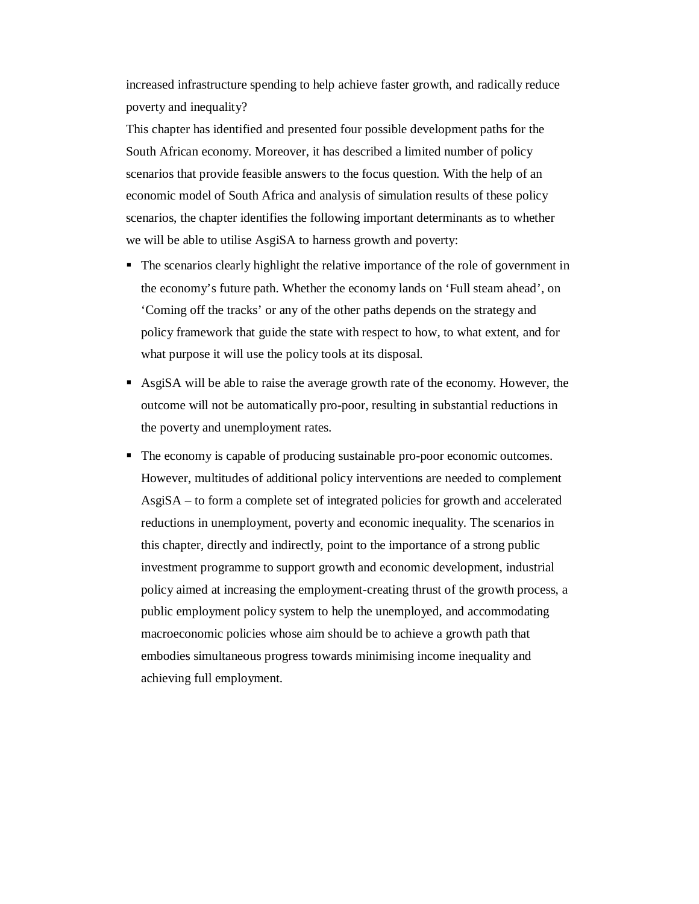increased infrastructure spending to help achieve faster growth, and radically reduce poverty and inequality?

This chapter has identified and presented four possible development paths for the South African economy. Moreover, it has described a limited number of policy scenarios that provide feasible answers to the focus question. With the help of an economic model of South Africa and analysis of simulation results of these policy scenarios, the chapter identifies the following important determinants as to whether we will be able to utilise AsgiSA to harness growth and poverty:

- The scenarios clearly highlight the relative importance of the role of government in the economy's future path. Whether the economy lands on 'Full steam ahead', on 'Coming off the tracks' or any of the other paths depends on the strategy and policy framework that guide the state with respect to how, to what extent, and for what purpose it will use the policy tools at its disposal.
- AsgiSA will be able to raise the average growth rate of the economy. However, the outcome will not be automatically pro-poor, resulting in substantial reductions in the poverty and unemployment rates.
- The economy is capable of producing sustainable pro-poor economic outcomes. However, multitudes of additional policy interventions are needed to complement AsgiSA – to form a complete set of integrated policies for growth and accelerated reductions in unemployment, poverty and economic inequality. The scenarios in this chapter, directly and indirectly, point to the importance of a strong public investment programme to support growth and economic development, industrial policy aimed at increasing the employment-creating thrust of the growth process, a public employment policy system to help the unemployed, and accommodating macroeconomic policies whose aim should be to achieve a growth path that embodies simultaneous progress towards minimising income inequality and achieving full employment.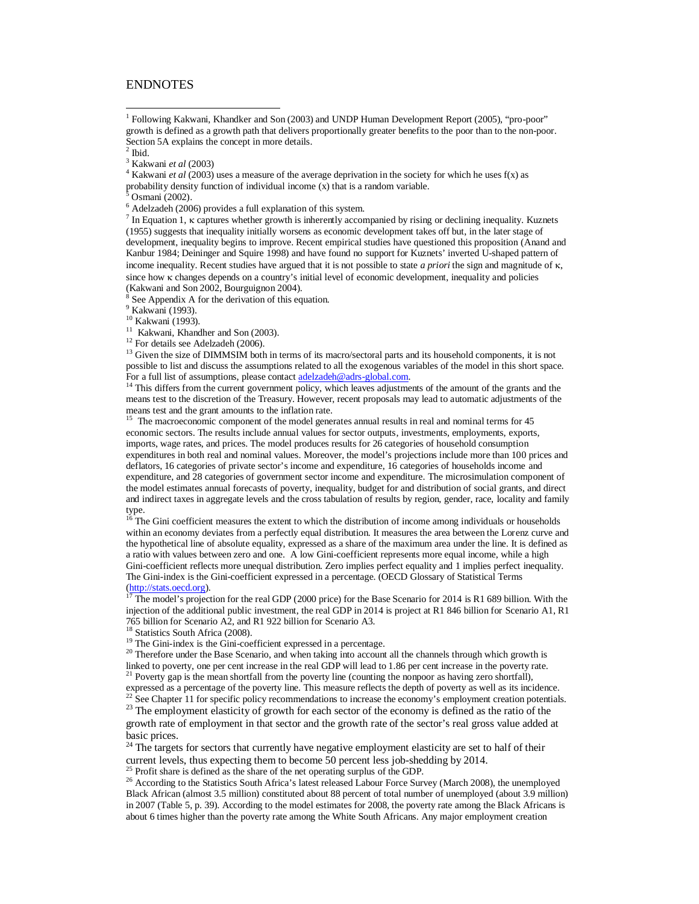#### **ENDNOTES**

1 Following Kakwani, Khandker and Son (2003) and UNDP Human Development Report (2005), "pro-poor" growth is defined as a growth path that delivers proportionally greater benefits to the poor than to the non-poor. Section 5A explains the concept in more details.

 $\overline{1}$ 

3 Kakwani *et al* (2003)

4 Kakwani *et al* (2003) uses a measure of the average deprivation in the society for which he uses f(x) as probability density function of individual income  $(x)$  that is a random variable.<br><sup>5</sup> Osmani (2002)

Osmani (2002).

<sup>6</sup> Adelzadeh (2006) provides a full explanation of this system.

 $<sup>7</sup>$  In Equation 1,  $\kappa$  captures whether growth is inherently accompanied by rising or declining inequality. Kuznets</sup> (1955) suggests that inequality initially worsens as economic development takes off but, in the later stage of development, inequality begins to improve. Recent empirical studies have questioned this proposition (Anand and Kanbur 1984; Deininger and Squire 1998) and have found no support for Kuznets' inverted U-shaped pattern of income inequality. Recent studies have argued that it is not possible to state *a priori* the sign and magnitude of  $\kappa$ , since how  $\kappa$  changes depends on a country's initial level of economic development, inequality and policies (Kakwani and Son 2002, Bourguignon 2004).

<sup>8</sup> See Appendix A for the derivation of this equation.

<sup>9</sup> Kakwani (1993).

<sup>10</sup> Kakwani (1993).

<sup>11</sup> Kakwani, Khandher and Son (2003).

<sup>12</sup> For details see Adelzadeh (2006).

<sup>13</sup> Given the size of DIMMSIM both in terms of its macro/sectoral parts and its household components, it is not possible to list and discuss the assumptions related to all the exogenous variables of the model in this short space. For a full list of assumptions, please contact adelzadeh@adrs-global.com.

<sup>14</sup> This differs from the current government policy, which leaves adjustments of the amount of the grants and the means test to the discretion of the Treasury. However, recent proposals may lead to automatic adjustments of the means test and the grant amounts to the inflation rate.

<sup>15</sup> The macroeconomic component of the model generates annual results in real and nominal terms for 45 economic sectors. The results include annual values for sector outputs, investments, employments, exports, imports, wage rates, and prices. The model produces results for 26 categories of household consumption expenditures in both real and nominal values. Moreover, the model's projections include more than 100 prices and deflators, 16 categories of private sector's income and expenditure, 16 categories of households income and expenditure, and 28 categories of government sector income and expenditure. The microsimulation component of the model estimates annual forecasts of poverty, inequality, budget for and distribution of social grants, and direct and indirect taxes in aggregate levels and the cross tabulation of results by region, gender, race, locality and family type.

<sup>16</sup> The Gini coefficient measures the extent to which the distribution of income among individuals or households within an economy deviates from a perfectly equal distribution. It measures the area between the Lorenz curve and the hypothetical line of absolute equality, expressed as a share of the maximum area under the line. It is defined as a ratio with values between zero and one. A low Gini-coefficient represents more equal income, while a high Gini-coefficient reflects more unequal distribution. Zero implies perfect equality and 1 implies perfect inequality. The Gini-index is the Gini-coefficient expressed in a percentage. (OECD Glossary of Statistical Terms (http://stats.oecd.org).

<sup>17</sup> The model's projection for the real GDP (2000 price) for the Base Scenario for 2014 is R1 689 billion. With the injection of the additional public investment, the real GDP in 2014 is project at R1 846 billion for Scenario A1, R1 765 billion for Scenario A2, and R1 922 billion for Scenario A3.

<sup>18</sup> Statistics South Africa (2008).

<sup>19</sup> The Gini-index is the Gini-coefficient expressed in a percentage.

<sup>20</sup> Therefore under the Base Scenario, and when taking into account all the channels through which growth is linked to poverty, one per cent increase in the real GDP will lead to 1.86 per cent increase in the poverty rate.

<sup>21</sup> Poverty gap is the mean shortfall from the poverty line (counting the nonpoor as having zero shortfall), expressed as a percentage of the poverty line. This measure reflects the depth of poverty as well as its incidence. <sup>22</sup> See Chapter 11 for specific policy recommendations to increase the economy's employment creation potentials.

<sup>23</sup> The employment elasticity of growth for each sector of the economy is defined as the ratio of the growth rate of employment in that sector and the growth rate of the sector's real gross value added at basic prices.

<sup>24</sup> The targets for sectors that currently have negative employment elasticity are set to half of their current levels, thus expecting them to become 50 percent less job-shedding by 2014.

 $<sup>5</sup>$  Profit share is defined as the share of the net operating surplus of the GDP.</sup>

<sup>26</sup> According to the Statistics South Africa's latest released Labour Force Survey (March 2008), the unemployed Black African (almost 3.5 million) constituted about 88 percent of total number of unemployed (about 3.9 million) in 2007 (Table 5, p. 39). According to the model estimates for 2008, the poverty rate among the Black Africans is about 6 times higher than the poverty rate among the White South Africans. Any major employment creation

 $<sup>2</sup>$  Ibid.</sup>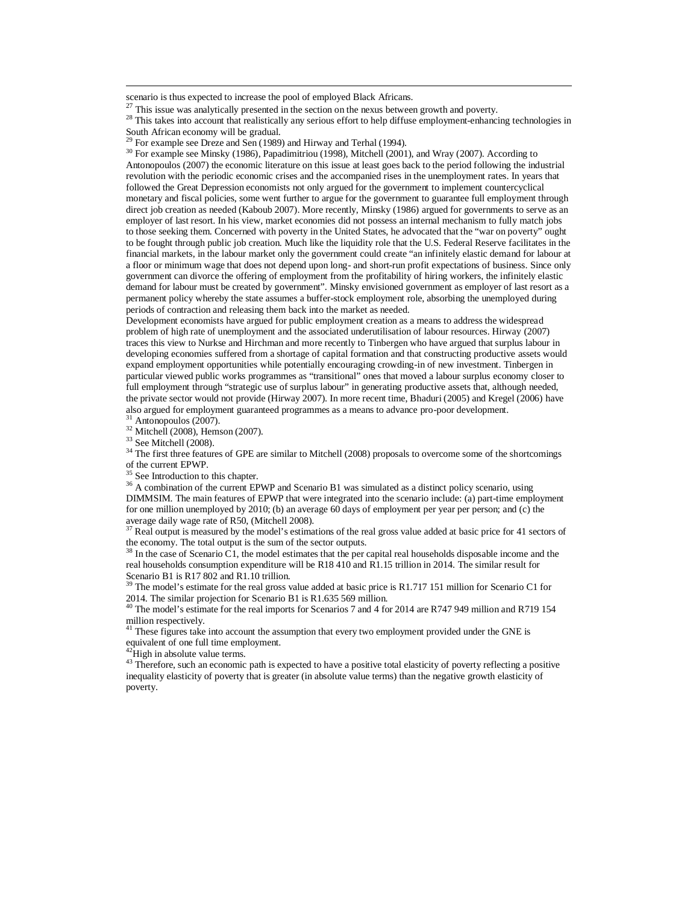scenario is thus expected to increase the pool of employed Black Africans.

 $\frac{27}{27}$  This issue was analytically presented in the section on the nexus between growth and poverty.

<sup>28</sup> This takes into account that realistically any serious effort to help diffuse employment-enhancing technologies in South African economy will be gradual.

<sup>30</sup> For example see Minsky (1986), Papadimitriou (1998), Mitchell (2001), and Wray (2007). According to Antonopoulos (2007) the economic literature on this issue at least goes back to the period following the industrial revolution with the periodic economic crises and the accompanied rises in the unemployment rates. In years that followed the Great Depression economists not only argued for the government to implement countercyclical monetary and fiscal policies, some went further to argue for the government to guarantee full employment through direct job creation as needed (Kaboub 2007). More recently, Minsky (1986) argued for governments to serve as an employer of last resort. In his view, market economies did not possess an internal mechanism to fully match jobs to those seeking them. Concerned with poverty in the United States, he advocated that the "war on poverty" ought to be fought through public job creation. Much like the liquidity role that the U.S. Federal Reserve facilitates in the financial markets, in the labour market only the government could create "an infinitely elastic demand for labour at a floor or minimum wage that does not depend upon long- and short-run profit expectations of business. Since only government can divorce the offering of employment from the profitability of hiring workers, the infinitely elastic demand for labour must be created by government". Minsky envisioned government as employer of last resort as a permanent policy whereby the state assumes a buffer-stock employment role, absorbing the unemployed during periods of contraction and releasing them back into the market as needed.

Development economists have argued for public employment creation as a means to address the widespread problem of high rate of unemployment and the associated underutilisation of labour resources. Hirway (2007) traces this view to Nurkse and Hirchman and more recently to Tinbergen who have argued that surplus labour in developing economies suffered from a shortage of capital formation and that constructing productive assets would expand employment opportunities while potentially encouraging crowding-in of new investment. Tinbergen in particular viewed public works programmes as "transitional" ones that moved a labour surplus economy closer to full employment through "strategic use of surplus labour" in generating productive assets that, although needed, the private sector would not provide (Hirway 2007). In more recent time, Bhaduri (2005) and Kregel (2006) have also argued for employment guaranteed programmes as a means to advance pro-poor development.

 $31$  Antonopoulos (2007). <sup>32</sup> Mitchell (2008), Hemson (2007).

<sup>33</sup> See Mitchell (2008).

 $\overline{a}$ 

<sup>34</sup> The first three features of GPE are similar to Mitchell (2008) proposals to overcome some of the shortcomings of the current EPWP.

 $35$  See Introduction to this chapter.

<sup>36</sup> A combination of the current EPWP and Scenario B1 was simulated as a distinct policy scenario, using DIMMSIM. The main features of EPWP that were integrated into the scenario include: (a) part-time employment for one million unemployed by 2010; (b) an average 60 days of employment per year per person; and (c) the average daily wage rate of R50, (Mitchell 2008).

 $<sup>7</sup>$  Real output is measured by the model's estimations of the real gross value added at basic price for 41 sectors of</sup> the economy. The total output is the sum of the sector outputs.

 $38$  In the case of Scenario C1, the model estimates that the per capital real households disposable income and the real households consumption expenditure will be R18 410 and R1.15 trillion in 2014. The similar result for Scenario B1 is R17 802 and R1.10 trillion.

<sup>39</sup> The model's estimate for the real gross value added at basic price is R1.717 151 million for Scenario C1 for 2014. The similar projection for Scenario B1 is R1.635 569 million.

<sup>40</sup> The model's estimate for the real imports for Scenarios 7 and 4 for 2014 are R747 949 million and R719 154 million respectively.<br><sup>41</sup> These figures take into account the assumption that every two employment provided under the GNE is

equivalent of one full time employment.<br><sup>42</sup>High in absolute value terms.

<sup>43</sup> Therefore, such an economic path is expected to have a positive total elasticity of poverty reflecting a positive inequality elasticity of poverty that is greater (in absolute value terms) than the negative growth elasticity of poverty.

 $29$  For example see Dreze and Sen (1989) and Hirway and Terhal (1994).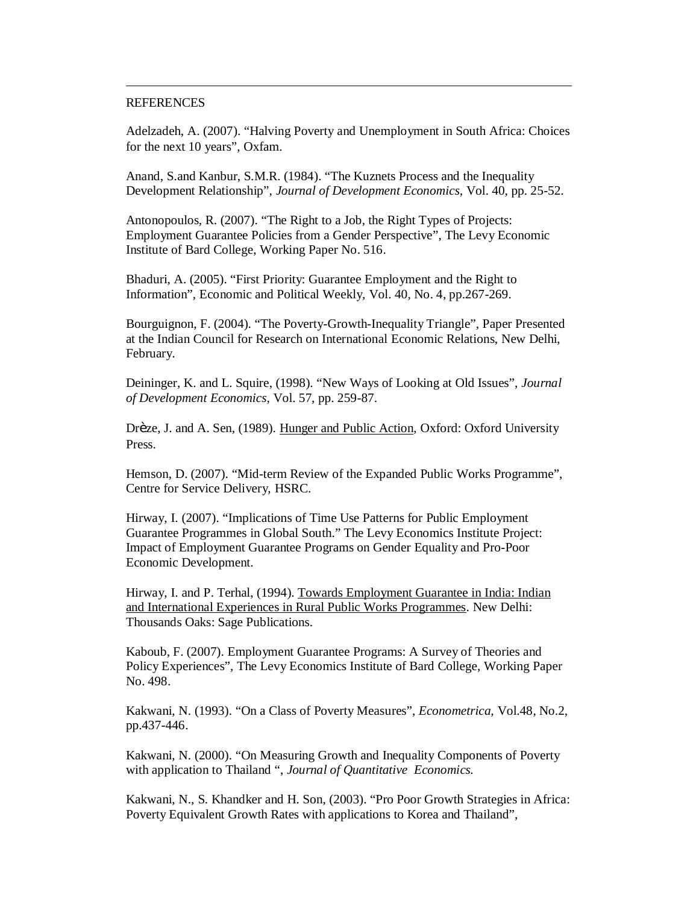#### **REFERENCES**

 $\overline{a}$ 

Adelzadeh, A. (2007). "Halving Poverty and Unemployment in South Africa: Choices for the next 10 years", Oxfam.

Anand, S.and Kanbur, S.M.R. (1984). "The Kuznets Process and the Inequality Development Relationship", *Journal of Development Economics,* Vol. 40, pp. 25-52.

Antonopoulos, R. (2007). "The Right to a Job, the Right Types of Projects: Employment Guarantee Policies from a Gender Perspective", The Levy Economic Institute of Bard College, Working Paper No. 516.

Bhaduri, A. (2005). "First Priority: Guarantee Employment and the Right to Information", Economic and Political Weekly, Vol. 40, No. 4, pp.267-269.

Bourguignon, F. (2004). "The Poverty-Growth-Inequality Triangle", Paper Presented at the Indian Council for Research on International Economic Relations, New Delhi, February.

Deininger, K. and L. Squire, (1998). "New Ways of Looking at Old Issues", *Journal of Development Economics,* Vol. 57, pp. 259-87.

Drèze, J. and A. Sen, (1989). Hunger and Public Action, Oxford: Oxford University Press.

Hemson, D. (2007). "Mid-term Review of the Expanded Public Works Programme", Centre for Service Delivery, HSRC.

Hirway, I. (2007). "Implications of Time Use Patterns for Public Employment Guarantee Programmes in Global South." The Levy Economics Institute Project: Impact of Employment Guarantee Programs on Gender Equality and Pro-Poor Economic Development.

Hirway, I. and P. Terhal, (1994). Towards Employment Guarantee in India: Indian and International Experiences in Rural Public Works Programmes. New Delhi: Thousands Oaks: Sage Publications.

Kaboub, F. (2007). Employment Guarantee Programs: A Survey of Theories and Policy Experiences", The Levy Economics Institute of Bard College, Working Paper No. 498.

Kakwani, N. (1993). "On a Class of Poverty Measures", *Econometrica,* Vol.48, No.2, pp.437-446.

Kakwani, N. (2000). "On Measuring Growth and Inequality Components of Poverty with application to Thailand ", *Journal of Quantitative Economics.*

Kakwani, N., S. Khandker and H. Son, (2003). "Pro Poor Growth Strategies in Africa: Poverty Equivalent Growth Rates with applications to Korea and Thailand",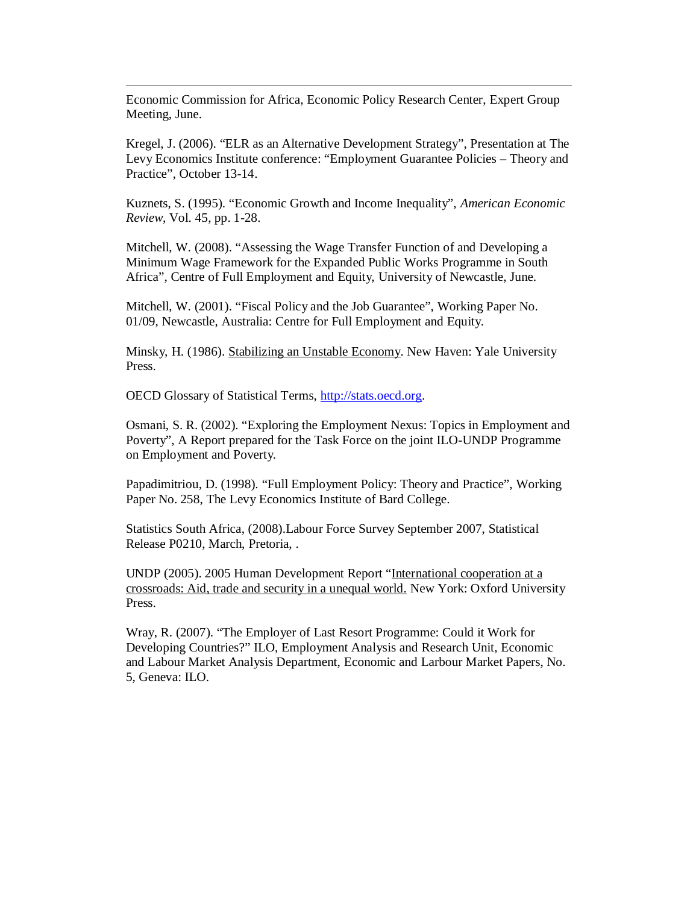Economic Commission for Africa, Economic Policy Research Center, Expert Group Meeting, June.

Kregel, J. (2006). "ELR as an Alternative Development Strategy", Presentation at The Levy Economics Institute conference: "Employment Guarantee Policies – Theory and Practice", October 13-14.

Kuznets, S. (1995). "Economic Growth and Income Inequality", *American Economic Review*, Vol. 45, pp. 1-28.

Mitchell, W. (2008). "Assessing the Wage Transfer Function of and Developing a Minimum Wage Framework for the Expanded Public Works Programme in South Africa", Centre of Full Employment and Equity, University of Newcastle, June.

Mitchell, W. (2001). "Fiscal Policy and the Job Guarantee", Working Paper No. 01/09, Newcastle, Australia: Centre for Full Employment and Equity.

Minsky, H. (1986). Stabilizing an Unstable Economy. New Haven: Yale University Press.

OECD Glossary of Statistical Terms, http://stats.oecd.org.

 $\overline{a}$ 

Osmani, S. R. (2002). "Exploring the Employment Nexus: Topics in Employment and Poverty", A Report prepared for the Task Force on the joint ILO-UNDP Programme on Employment and Poverty.

Papadimitriou, D. (1998). "Full Employment Policy: Theory and Practice", Working Paper No. 258, The Levy Economics Institute of Bard College.

Statistics South Africa, (2008).Labour Force Survey September 2007, Statistical Release P0210, March, Pretoria, .

UNDP (2005). 2005 Human Development Report "International cooperation at a crossroads: Aid, trade and security in a unequal world*.* New York: Oxford University Press.

Wray, R. (2007). "The Employer of Last Resort Programme: Could it Work for Developing Countries?" ILO, Employment Analysis and Research Unit, Economic and Labour Market Analysis Department, Economic and Larbour Market Papers, No. 5, Geneva: ILO.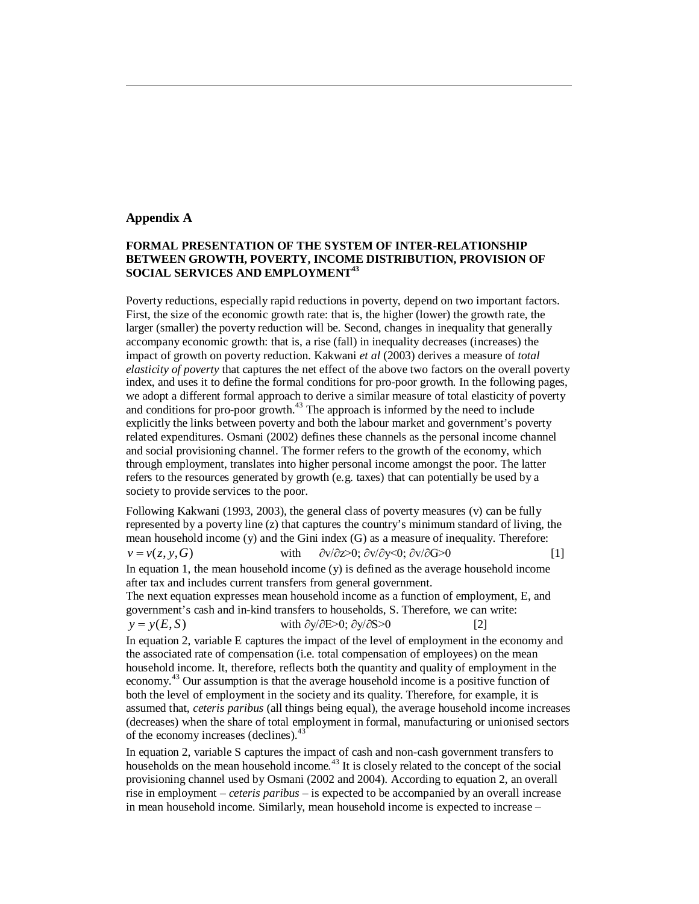#### **Appendix A**

 $\overline{a}$ 

# **FORMAL PRESENTATION OF THE SYSTEM OF INTER-RELATIONSHIP BETWEEN GROWTH, POVERTY, INCOME DISTRIBUTION, PROVISION OF SOCIAL SERVICES AND EMPLOYMENT<sup>43</sup>**

Poverty reductions, especially rapid reductions in poverty, depend on two important factors. First, the size of the economic growth rate: that is, the higher (lower) the growth rate, the larger (smaller) the poverty reduction will be. Second, changes in inequality that generally accompany economic growth: that is, a rise (fall) in inequality decreases (increases) the impact of growth on poverty reduction. Kakwani *et al* (2003) derives a measure of *total elasticity of poverty* that captures the net effect of the above two factors on the overall poverty index, and uses it to define the formal conditions for pro-poor growth. In the following pages, we adopt a different formal approach to derive a similar measure of total elasticity of poverty and conditions for pro-poor growth.<sup>43</sup> The approach is informed by the need to include explicitly the links between poverty and both the labour market and government's poverty related expenditures. Osmani (2002) defines these channels as the personal income channel and social provisioning channel. The former refers to the growth of the economy, which through employment, translates into higher personal income amongst the poor. The latter refers to the resources generated by growth (e.g. taxes) that can potentially be used by a society to provide services to the poor.

Following Kakwani (1993, 2003), the general class of poverty measures (v) can be fully represented by a poverty line (z) that captures the country's minimum standard of living, the mean household income (y) and the Gini index (G) as a measure of inequality. Therefore:  $v = v(z, y, G)$  with  $\partial v / \partial z > 0$ ;  $\partial v / \partial y < 0$ ;  $\partial v / \partial G > 0$  [1] In equation 1, the mean household income  $(y)$  is defined as the average household income after tax and includes current transfers from general government. The next equation expresses mean household income as a function of employment, E, and government's cash and in-kind transfers to households, S. Therefore, we can write:  $y = y(E, S)$  with  $\partial y / \partial E > 0$ ;  $\partial y / \partial S > 0$  [2] In equation 2, variable E captures the impact of the level of employment in the economy and the associated rate of compensation (i.e. total compensation of employees) on the mean household income. It, therefore, reflects both the quantity and quality of employment in the economy.<sup>43</sup> Our assumption is that the average household income is a positive function of both the level of employment in the society and its quality. Therefore, for example, it is assumed that, *ceteris paribus* (all things being equal), the average household income increases (decreases) when the share of total employment in formal, manufacturing or unionised sectors of the economy increases (declines).<sup>43</sup>

In equation 2, variable S captures the impact of cash and non-cash government transfers to households on the mean household income.<sup>43</sup> It is closely related to the concept of the social provisioning channel used by Osmani (2002 and 2004). According to equation 2, an overall rise in employment – *ceteris paribus* – is expected to be accompanied by an overall increase in mean household income. Similarly, mean household income is expected to increase –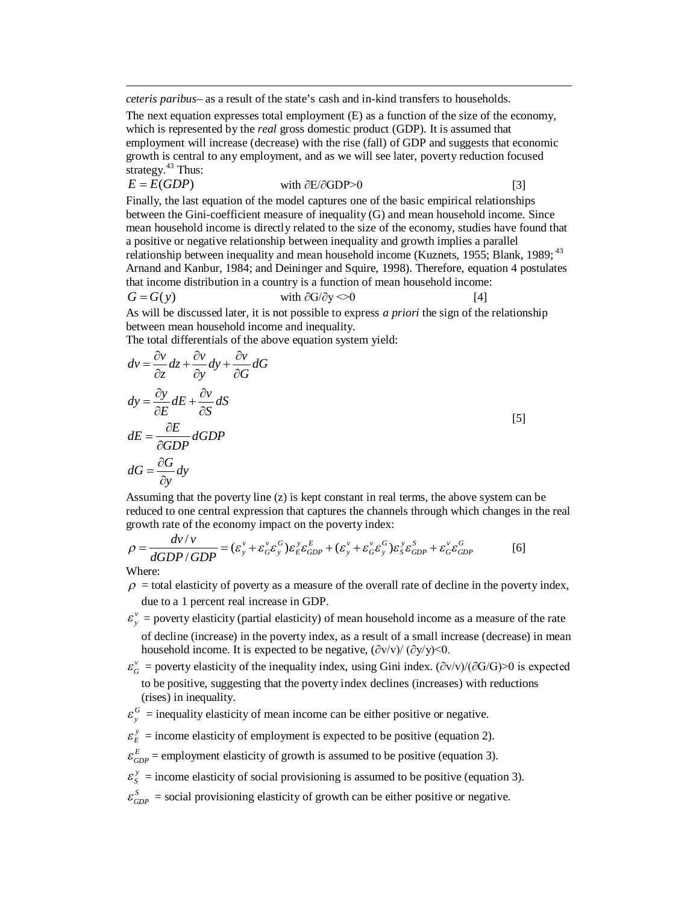*ceteris paribus–* as a result of the state's cash and in-kind transfers to households.

The next equation expresses total employment (E) as a function of the size of the economy, which is represented by the *real* gross domestic product (GDP). It is assumed that employment will increase (decrease) with the rise (fall) of GDP and suggests that economic growth is central to any employment, and as we will see later, poverty reduction focused strategy. $43$  Thus:

$$
E = E(GDP)
$$
 with  $\partial E/\partial GDP > 0$  [3]

Finally, the last equation of the model captures one of the basic empirical relationships between the Gini-coefficient measure of inequality (G) and mean household income. Since mean household income is directly related to the size of the economy, studies have found that a positive or negative relationship between inequality and growth implies a parallel relationship between inequality and mean household income (Kuznets, 1955; Blank, 1989; <sup>43</sup> Arnand and Kanbur, 1984; and Deininger and Squire, 1998). Therefore, equation 4 postulates that income distribution in a country is a function of mean household income:

$$
G = G(y) \qquad \text{with } \partial G / \partial y \ll 0 \tag{4}
$$

As will be discussed later, it is not possible to express *a priori* the sign of the relationship between mean household income and inequality.

The total differentials of the above equation system yield:

$$
dv = \frac{\partial v}{\partial z} dz + \frac{\partial v}{\partial y} dy + \frac{\partial v}{\partial G} dG
$$
  
\n
$$
dy = \frac{\partial y}{\partial E} dE + \frac{\partial v}{\partial S} dS
$$
  
\n
$$
dE = \frac{\partial E}{\partial GDP} dGDP
$$
  
\n
$$
dG = \frac{\partial G}{\partial y} dy
$$

Assuming that the poverty line (z) is kept constant in real terms, the above system can be reduced to one central expression that captures the channels through which changes in the real growth rate of the economy impact on the poverty index:

$$
\rho = \frac{dv/v}{dGDP/GDP} = (\varepsilon_y^v + \varepsilon_G^v \varepsilon_y^G) \varepsilon_E^v \varepsilon_{GDP}^E + (\varepsilon_y^v + \varepsilon_G^v \varepsilon_y^G) \varepsilon_S^v \varepsilon_{GDP}^S + \varepsilon_G^v \varepsilon_{GDP}^G \tag{6}
$$

Where:

 $\overline{a}$ 

- $\rho$  = total elasticity of poverty as a measure of the overall rate of decline in the poverty index, due to a 1 percent real increase in GDP.
- $\varepsilon_y^{\nu}$  = poverty elasticity (partial elasticity) of mean household income as a measure of the rate of decline (increase) in the poverty index, as a result of a small increase (decrease) in mean household income. It is expected to be negative,  $(\partial v/v) / (\partial y/v) \le 0$ .
- $\varepsilon_G^{\nu}$  = poverty elasticity of the inequality index, using Gini index. ( $\partial v/v$ )/( $\partial G/G$ )>0 is expected to be positive, suggesting that the poverty index declines (increases) with reductions (rises) in inequality.
- $\varepsilon$ <sup>*G*</sup> = inequality elasticity of mean income can be either positive or negative.
- $\varepsilon_E^y$  = income elasticity of employment is expected to be positive (equation 2).
- $\varepsilon_{GDP}^E$  = employment elasticity of growth is assumed to be positive (equation 3).
- *y*  $\mathcal{E}_S^y$  = income elasticity of social provisioning is assumed to be positive (equation 3).
- $\varepsilon_{GDP}^{S}$  = social provisioning elasticity of growth can be either positive or negative.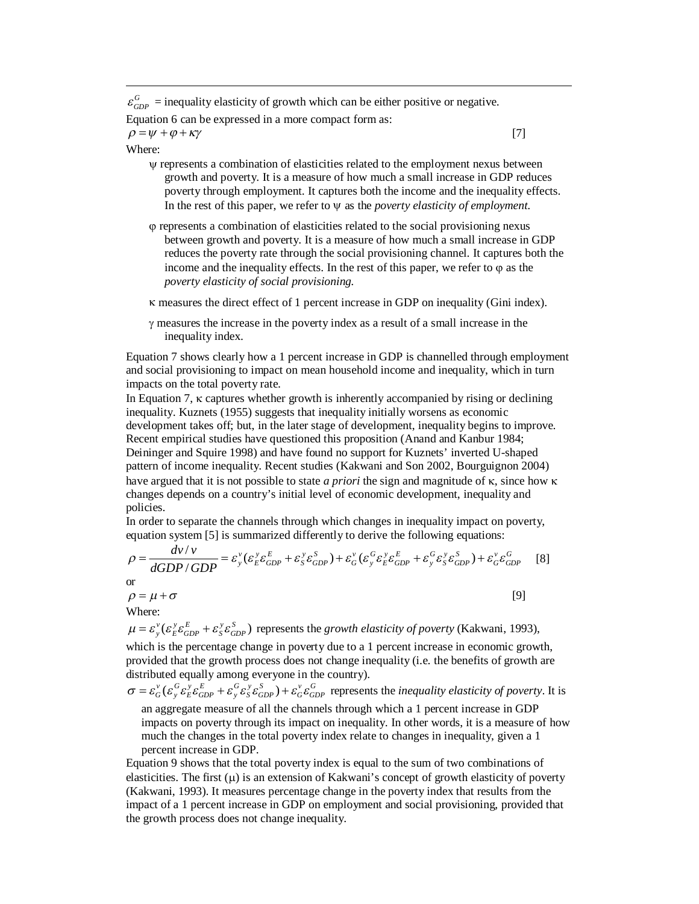$\varepsilon_{GDP}^G$  = inequality elasticity of growth which can be either positive or negative. Equation 6 can be expressed in a more compact form as:

 $\rho = \psi + \varphi + \kappa \gamma$  [7]

#### Where:

 $\overline{a}$ 

- represents a combination of elasticities related to the employment nexus between growth and poverty. It is a measure of how much a small increase in GDP reduces poverty through employment. It captures both the income and the inequality effects. In the rest of this paper, we refer to  $\Psi$  as the *poverty elasticity of employment*.
- represents a combination of elasticities related to the social provisioning nexus between growth and poverty. It is a measure of how much a small increase in GDP reduces the poverty rate through the social provisioning channel. It captures both the income and the inequality effects. In the rest of this paper, we refer to  $\varphi$  as the *poverty elasticity of social provisioning.*
- $\kappa$  measures the direct effect of 1 percent increase in GDP on inequality (Gini index).
- $\gamma$  measures the increase in the poverty index as a result of a small increase in the inequality index.

Equation 7 shows clearly how a 1 percent increase in GDP is channelled through employment and social provisioning to impact on mean household income and inequality, which in turn impacts on the total poverty rate.

In Equation 7,  $\kappa$  captures whether growth is inherently accompanied by rising or declining inequality. Kuznets (1955) suggests that inequality initially worsens as economic development takes off; but, in the later stage of development, inequality begins to improve. Recent empirical studies have questioned this proposition (Anand and Kanbur 1984; Deininger and Squire 1998) and have found no support for Kuznets' inverted U-shaped pattern of income inequality. Recent studies (Kakwani and Son 2002, Bourguignon 2004) have argued that it is not possible to state *a priori* the sign and magnitude of  $\kappa$ , since how  $\kappa$ changes depends on a country's initial level of economic development, inequality and policies.

In order to separate the channels through which changes in inequality impact on poverty, equation system [5] is summarized differently to derive the following equations:

$$
\rho = \frac{dv/v}{dGDP/GDP} = \varepsilon_y^v (\varepsilon_E^v \varepsilon_{GDP}^e + \varepsilon_y^v \varepsilon_{GDP}^s) + \varepsilon_G^v (\varepsilon_y^G \varepsilon_E^v \varepsilon_{GDP}^e + \varepsilon_y^G \varepsilon_y^v \varepsilon_{GDP}^s) + \varepsilon_G^v \varepsilon_{GDP}^G \tag{8}
$$
  
or  

$$
\rho = \mu + \sigma
$$

Where:

 $\mu = \varepsilon_v^v (\varepsilon_E^v \varepsilon_{GDP}^E + \varepsilon_S^v \varepsilon_{GDP}^S)$  represents the *growth elasticity of poverty* (Kakwani, 1993),

which is the percentage change in poverty due to a 1 percent increase in economic growth, provided that the growth process does not change inequality (i.e. the benefits of growth are distributed equally among everyone in the country).

 $\sigma = \varepsilon_0^v (\varepsilon_v^0 \varepsilon_E^v \varepsilon_{GPP}^E + \varepsilon_v^0 \varepsilon_S^v \varepsilon_{GPP}^S) + \varepsilon_v^v \varepsilon_{GDP}^C$  represents the *inequality elasticity of poverty*. It is an aggregate measure of all the channels through which a 1 percent increase in GDP impacts on poverty through its impact on inequality. In other words, it is a measure of how much the changes in the total poverty index relate to changes in inequality, given a 1 percent increase in GDP.

Equation 9 shows that the total poverty index is equal to the sum of two combinations of elasticities. The first  $(\mu)$  is an extension of Kakwani's concept of growth elasticity of poverty (Kakwani, 1993). It measures percentage change in the poverty index that results from the impact of a 1 percent increase in GDP on employment and social provisioning, provided that the growth process does not change inequality.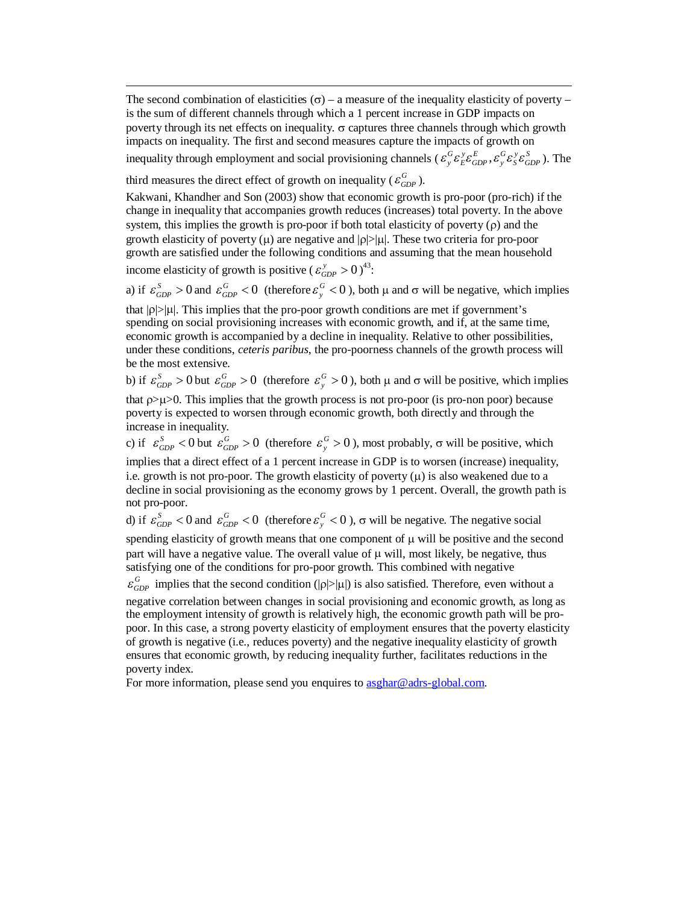The second combination of elasticities ( $\sigma$ ) – a measure of the inequality elasticity of poverty – is the sum of different channels through which a 1 percent increase in GDP impacts on poverty through its net effects on inequality.  $\sigma$  captures three channels through which growth impacts on inequality. The first and second measures capture the impacts of growth on inequality through employment and social provisioning channels ( $\epsilon_y^G \epsilon_z^y \epsilon_{GDP}^z$ ,  $\epsilon_y^G \epsilon_z^y \epsilon_{GDP}^s$ ). The

third measures the direct effect of growth on inequality ( $\varepsilon_{GDP}^G$ ).

Kakwani, Khandher and Son (2003) show that economic growth is pro-poor (pro-rich) if the change in inequality that accompanies growth reduces (increases) total poverty. In the above system, this implies the growth is pro-poor if both total elasticity of poverty  $(\rho)$  and the growth elasticity of poverty  $(\mu)$  are negative and  $|\rho| > |\mu|$ . These two criteria for pro-poor growth are satisfied under the following conditions and assuming that the mean household income elasticity of growth is positive  $(\varepsilon_{GDP}^y > 0)^{43}$ :

a) if  $\varepsilon_{GDP}^S > 0$  and  $\varepsilon_{GDP}^G < 0$  (therefore  $\varepsilon_{y}^G < 0$ ), both  $\mu$  and  $\sigma$  will be negative, which implies

that  $|p|>|u|$ . This implies that the pro-poor growth conditions are met if government's spending on social provisioning increases with economic growth, and if, at the same time, economic growth is accompanied by a decline in inequality. Relative to other possibilities, under these conditions, *ceteris paribus*, the pro-poorness channels of the growth process will be the most extensive.

b) if  $\varepsilon_{GDP}^S > 0$  but  $\varepsilon_{GDP}^G > 0$  (therefore  $\varepsilon_{y}^G > 0$ ), both  $\mu$  and  $\sigma$  will be positive, which implies that  $\rho > \mu > 0$ . This implies that the growth process is not pro-poor (is pro-non poor) because

poverty is expected to worsen through economic growth, both directly and through the increase in inequality.

c) if  $\varepsilon_{GDP}^S$  < 0 but  $\varepsilon_{GDP}^G > 0$  (therefore  $\varepsilon_{y}^G > 0$ ), most probably,  $\sigma$  will be positive, which implies that a direct effect of a 1 percent increase in GDP is to worsen (increase) inequality, i.e. growth is not pro-poor. The growth elasticity of poverty  $(\mu)$  is also weakened due to a decline in social provisioning as the economy grows by 1 percent. Overall, the growth path is

not pro-poor.

 $\overline{a}$ 

d) if  $\varepsilon_{GDP}^S < 0$  and  $\varepsilon_{GDP}^G < 0$  (therefore  $\varepsilon_{y}^G < 0$ ),  $\sigma$  will be negative. The negative social spending elasticity of growth means that one component of  $\mu$  will be positive and the second

part will have a negative value. The overall value of  $\mu$  will, most likely, be negative, thus satisfying one of the conditions for pro-poor growth. This combined with negative

 $\varepsilon_{GDP}^G$  implies that the second condition ( $|\rho| > |\mu|$ ) is also satisfied. Therefore, even without a

negative correlation between changes in social provisioning and economic growth, as long as the employment intensity of growth is relatively high, the economic growth path will be propoor. In this case, a strong poverty elasticity of employment ensures that the poverty elasticity of growth is negative (i.e., reduces poverty) and the negative inequality elasticity of growth ensures that economic growth, by reducing inequality further, facilitates reductions in the poverty index.

For more information, please send you enquires to **asghar@adrs-global.com.**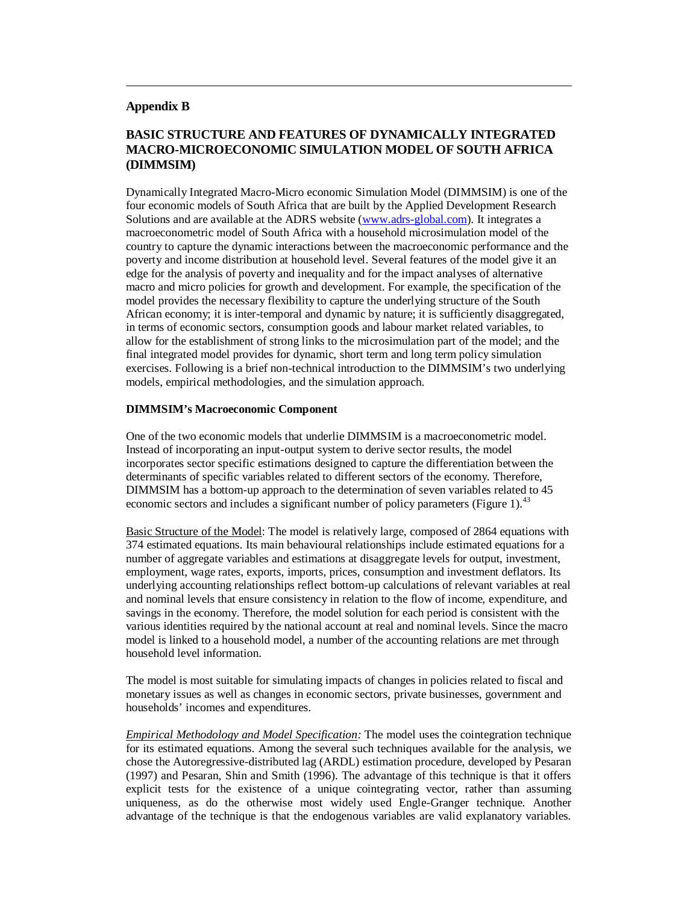#### **Appendix B**

 $\overline{a}$ 

# **BASIC STRUCTURE AND FEATURES OF DYNAMICALLY INTEGRATED MACRO-MICROECONOMIC SIMULATION MODEL OF SOUTH AFRICA (DIMMSIM)**

Dynamically Integrated Macro-Micro economic Simulation Model (DIMMSIM) is one of the four economic models of South Africa that are built by the Applied Development Research Solutions and are available at the ADRS website (www.adrs-global.com). It integrates a macroeconometric model of South Africa with a household microsimulation model of the country to capture the dynamic interactions between the macroeconomic performance and the poverty and income distribution at household level. Several features of the model give it an edge for the analysis of poverty and inequality and for the impact analyses of alternative macro and micro policies for growth and development. For example, the specification of the model provides the necessary flexibility to capture the underlying structure of the South African economy; it is inter-temporal and dynamic by nature; it is sufficiently disaggregated, in terms of economic sectors, consumption goods and labour market related variables, to allow for the establishment of strong links to the microsimulation part of the model; and the final integrated model provides for dynamic, short term and long term policy simulation exercises. Following is a brief non-technical introduction to the DIMMSIM's two underlying models, empirical methodologies, and the simulation approach.

#### **DIMMSIM's Macroeconomic Component**

One of the two economic models that underlie DIMMSIM is a macroeconometric model. Instead of incorporating an input-output system to derive sector results, the model incorporates sector specific estimations designed to capture the differentiation between the determinants of specific variables related to different sectors of the economy. Therefore, DIMMSIM has a bottom-up approach to the determination of seven variables related to 45 economic sectors and includes a significant number of policy parameters (Figure 1).<sup>43</sup>

Basic Structure of the Model: The model is relatively large, composed of 2864 equations with 374 estimated equations. Its main behavioural relationships include estimated equations for a number of aggregate variables and estimations at disaggregate levels for output, investment, employment, wage rates, exports, imports, prices, consumption and investment deflators. Its underlying accounting relationships reflect bottom-up calculations of relevant variables at real and nominal levels that ensure consistency in relation to the flow of income, expenditure, and savings in the economy. Therefore, the model solution for each period is consistent with the various identities required by the national account at real and nominal levels. Since the macro model is linked to a household model, a number of the accounting relations are met through household level information.

The model is most suitable for simulating impacts of changes in policies related to fiscal and monetary issues as well as changes in economic sectors, private businesses, government and households' incomes and expenditures.

*Empirical Methodology and Model Specification:* The model uses the cointegration technique for its estimated equations. Among the several such techniques available for the analysis, we chose the Autoregressive-distributed lag (ARDL) estimation procedure, developed by Pesaran (1997) and Pesaran, Shin and Smith (1996). The advantage of this technique is that it offers explicit tests for the existence of a unique cointegrating vector, rather than assuming uniqueness, as do the otherwise most widely used Engle-Granger technique. Another advantage of the technique is that the endogenous variables are valid explanatory variables.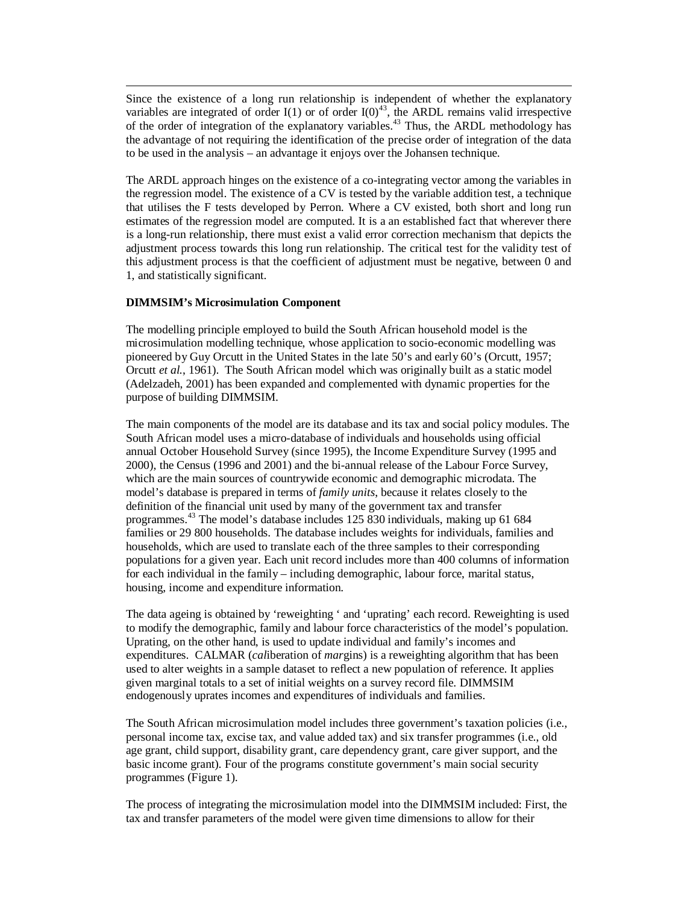Since the existence of a long run relationship is independent of whether the explanatory variables are integrated of order I(1) or of order I(0)<sup>43</sup>, the ARDL remains valid irrespective of the order of integration of the explanatory variables.<sup>43</sup> Thus, the ARDL methodology has the advantage of not requiring the identification of the precise order of integration of the data to be used in the analysis – an advantage it enjoys over the Johansen technique.

The ARDL approach hinges on the existence of a co-integrating vector among the variables in the regression model. The existence of a CV is tested by the variable addition test, a technique that utilises the F tests developed by Perron. Where a CV existed, both short and long run estimates of the regression model are computed. It is a an established fact that wherever there is a long-run relationship, there must exist a valid error correction mechanism that depicts the adjustment process towards this long run relationship. The critical test for the validity test of this adjustment process is that the coefficient of adjustment must be negative, between 0 and 1, and statistically significant.

#### **DIMMSIM's Microsimulation Component**

 $\overline{a}$ 

The modelling principle employed to build the South African household model is the microsimulation modelling technique, whose application to socio-economic modelling was pioneered by Guy Orcutt in the United States in the late 50's and early 60's (Orcutt, 1957; Orcutt *et al.*, 1961). The South African model which was originally built as a static model (Adelzadeh, 2001) has been expanded and complemented with dynamic properties for the purpose of building DIMMSIM.

The main components of the model are its database and its tax and social policy modules. The South African model uses a micro-database of individuals and households using official annual October Household Survey (since 1995), the Income Expenditure Survey (1995 and 2000), the Census (1996 and 2001) and the bi-annual release of the Labour Force Survey, which are the main sources of countrywide economic and demographic microdata. The model's database is prepared in terms of *family units*, because it relates closely to the definition of the financial unit used by many of the government tax and transfer programmes. <sup>43</sup> The model's database includes 125 830 individuals, making up 61 684 families or 29 800 households. The database includes weights for individuals, families and households, which are used to translate each of the three samples to their corresponding populations for a given year. Each unit record includes more than 400 columns of information for each individual in the family – including demographic, labour force, marital status, housing, income and expenditure information.

The data ageing is obtained by 'reweighting ' and 'uprating' each record. Reweighting is used to modify the demographic, family and labour force characteristics of the model's population. Uprating, on the other hand, is used to update individual and family's incomes and expenditures. CALMAR (*cal*iberation of *mar*gins) is a reweighting algorithm that has been used to alter weights in a sample dataset to reflect a new population of reference. It applies given marginal totals to a set of initial weights on a survey record file. DIMMSIM endogenously uprates incomes and expenditures of individuals and families.

The South African microsimulation model includes three government's taxation policies (i.e., personal income tax, excise tax, and value added tax) and six transfer programmes (i.e., old age grant, child support, disability grant, care dependency grant, care giver support, and the basic income grant). Four of the programs constitute government's main social security programmes (Figure 1).

The process of integrating the microsimulation model into the DIMMSIM included: First, the tax and transfer parameters of the model were given time dimensions to allow for their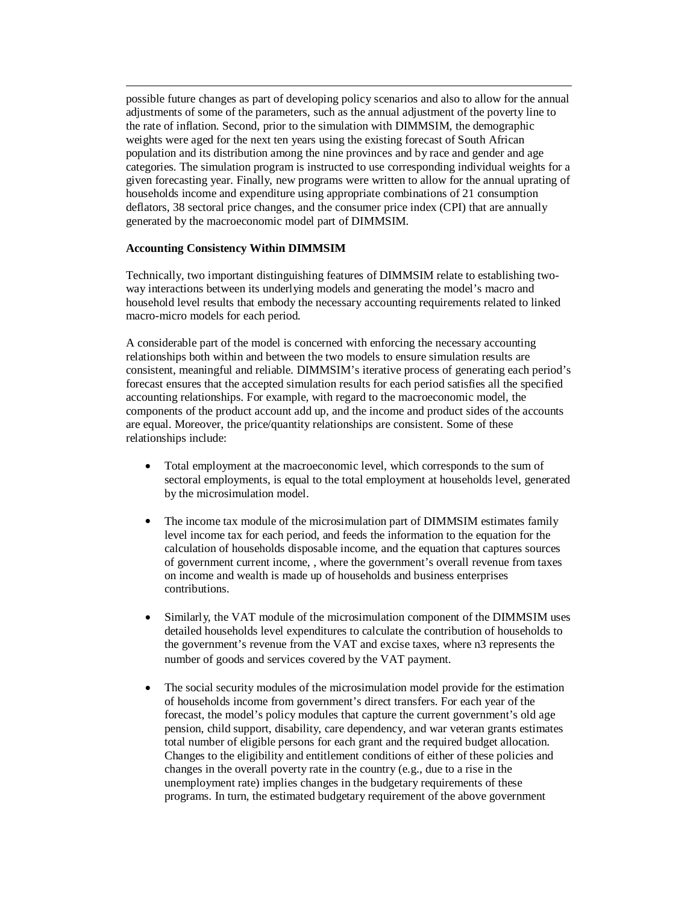possible future changes as part of developing policy scenarios and also to allow for the annual adjustments of some of the parameters, such as the annual adjustment of the poverty line to the rate of inflation. Second, prior to the simulation with DIMMSIM, the demographic weights were aged for the next ten years using the existing forecast of South African population and its distribution among the nine provinces and by race and gender and age categories. The simulation program is instructed to use corresponding individual weights for a given forecasting year. Finally, new programs were written to allow for the annual uprating of households income and expenditure using appropriate combinations of 21 consumption deflators, 38 sectoral price changes, and the consumer price index (CPI) that are annually generated by the macroeconomic model part of DIMMSIM.

#### **Accounting Consistency Within DIMMSIM**

 $\overline{a}$ 

Technically, two important distinguishing features of DIMMSIM relate to establishing twoway interactions between its underlying models and generating the model's macro and household level results that embody the necessary accounting requirements related to linked macro-micro models for each period.

A considerable part of the model is concerned with enforcing the necessary accounting relationships both within and between the two models to ensure simulation results are consistent, meaningful and reliable. DIMMSIM's iterative process of generating each period's forecast ensures that the accepted simulation results for each period satisfies all the specified accounting relationships. For example, with regard to the macroeconomic model, the components of the product account add up, and the income and product sides of the accounts are equal. Moreover, the price/quantity relationships are consistent. Some of these relationships include:

- Total employment at the macroeconomic level, which corresponds to the sum of sectoral employments, is equal to the total employment at households level, generated by the microsimulation model.
- The income tax module of the microsimulation part of DIMMSIM estimates family level income tax for each period, and feeds the information to the equation for the calculation of households disposable income, and the equation that captures sources of government current income, , where the government's overall revenue from taxes on income and wealth is made up of households and business enterprises contributions.
- Similarly, the VAT module of the microsimulation component of the DIMMSIM uses detailed households level expenditures to calculate the contribution of households to the government's revenue from the VAT and excise taxes, where n3 represents the number of goods and services covered by the VAT payment.
- The social security modules of the microsimulation model provide for the estimation of households income from government's direct transfers. For each year of the forecast, the model's policy modules that capture the current government's old age pension, child support, disability, care dependency, and war veteran grants estimates total number of eligible persons for each grant and the required budget allocation. Changes to the eligibility and entitlement conditions of either of these policies and changes in the overall poverty rate in the country (e.g., due to a rise in the unemployment rate) implies changes in the budgetary requirements of these programs. In turn, the estimated budgetary requirement of the above government